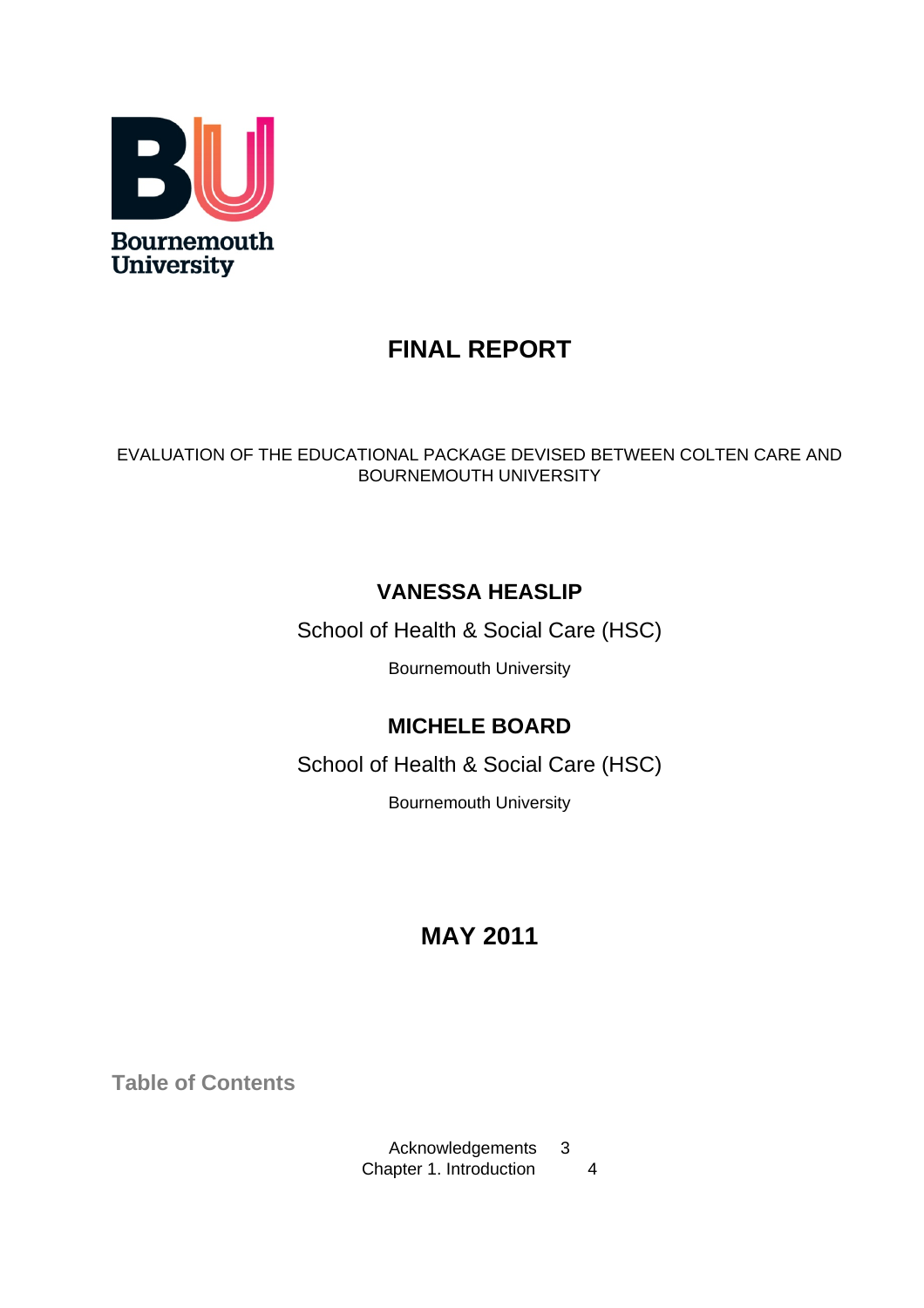

# **FINAL REPORT**

# EVALUATION OF THE EDUCATIONAL PACKAGE DEVISED BETWEEN COLTEN CARE AND BOURNEMOUTH UNIVERSITY

# **VANESSA HEASLIP**

School of Health & Social Care (HSC)

Bournemouth University

# **MICHELE BOARD**

School of Health & Social Care (HSC)

Bournemouth University

# **MAY 2011**

**Table of Contents**

Acknowledgements 3 Chapter 1. Introduction 4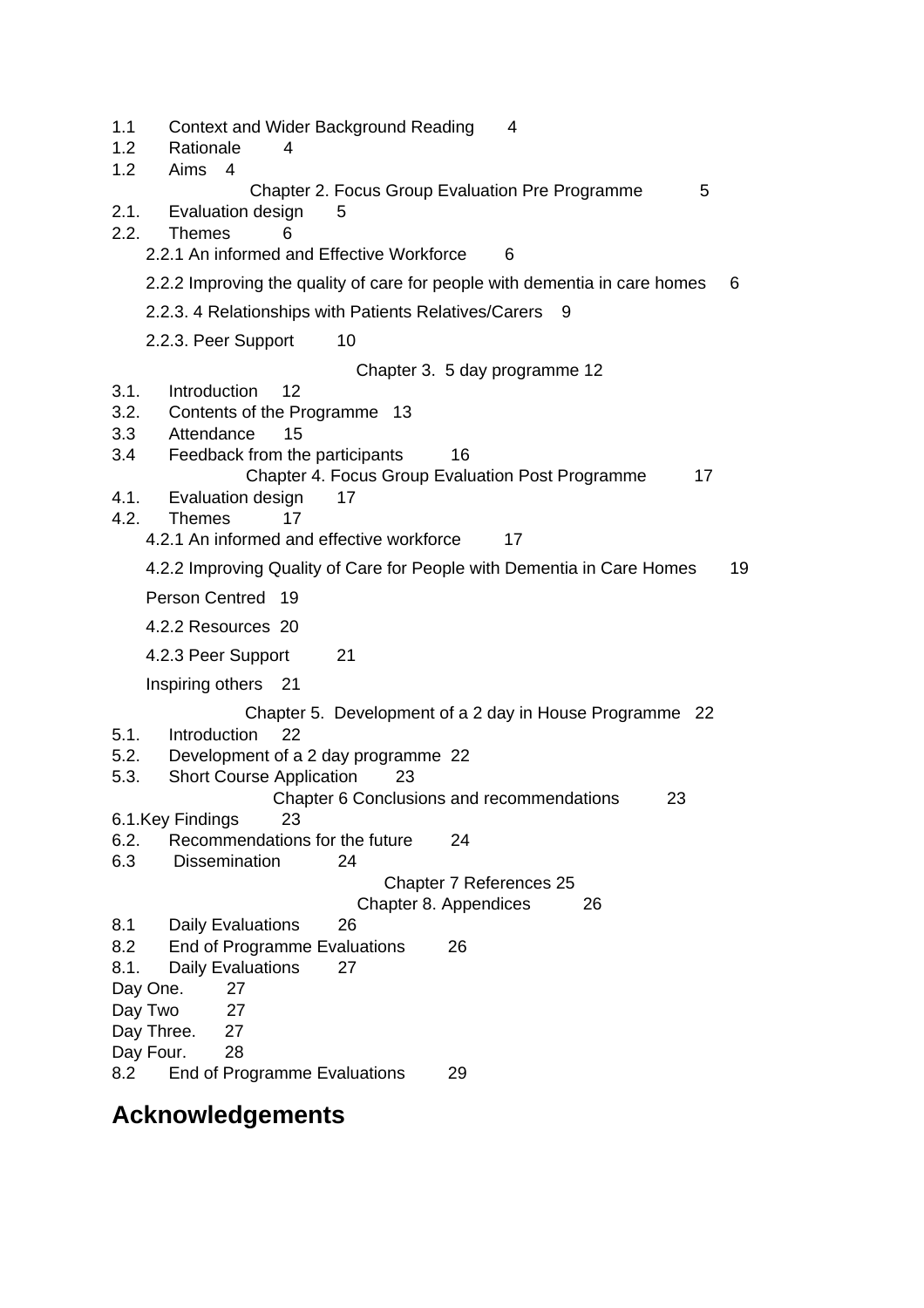| 1.1<br>Context and Wider Background Reading<br>1.2<br>Rationale<br>4<br>1.2<br>Aims 4 | 4                                                       |
|---------------------------------------------------------------------------------------|---------------------------------------------------------|
| Chapter 2. Focus Group Evaluation Pre Programme                                       | 5                                                       |
| Evaluation design<br>2.1.<br>5<br>2.2.<br><b>Themes</b><br>6                          |                                                         |
| 2.2.1 An informed and Effective Workforce                                             | 6                                                       |
| 2.2.2 Improving the quality of care for people with dementia in care homes            | 6                                                       |
| 2.2.3. 4 Relationships with Patients Relatives/Carers                                 | 9                                                       |
| 2.2.3. Peer Support<br>10                                                             |                                                         |
|                                                                                       | Chapter 3. 5 day programme 12                           |
| 3.1.<br>Introduction<br>12<br>3.2.<br>Contents of the Programme 13                    |                                                         |
| 3.3<br>Attendance<br>15                                                               |                                                         |
| Feedback from the participants<br>3.4                                                 | 16                                                      |
| Chapter 4. Focus Group Evaluation Post Programme<br>4.1.<br>Evaluation design<br>17   | 17                                                      |
| 4.2.<br><b>Themes</b><br>17                                                           |                                                         |
| 4.2.1 An informed and effective workforce                                             | 17                                                      |
| 4.2.2 Improving Quality of Care for People with Dementia in Care Homes                | 19                                                      |
| Person Centred 19                                                                     |                                                         |
| 4.2.2 Resources 20                                                                    |                                                         |
| 4.2.3 Peer Support<br>21                                                              |                                                         |
| Inspiring others<br>21                                                                |                                                         |
| Introduction<br>22<br>5.1.                                                            | Chapter 5. Development of a 2 day in House Programme 22 |
| 5.2.<br>Development of a 2 day programme 22                                           |                                                         |
| 5.3.<br><b>Short Course Application</b><br>23                                         |                                                         |
| Chapter 6 Conclusions and recommendations<br>6.1.Key Findings<br>23                   | 23                                                      |
| 6.2.<br>Recommendations for the future                                                | 24                                                      |
| 6.3<br><b>Dissemination</b><br>24                                                     |                                                         |
| Chapter 8. Appendices                                                                 | Chapter 7 References 25<br>26                           |
| <b>Daily Evaluations</b><br>26<br>8.1                                                 |                                                         |
| 8.2<br>End of Programme Evaluations                                                   | 26                                                      |
| <b>Daily Evaluations</b><br>8.1.<br>27<br>27<br>Day One.                              |                                                         |
| Day Two<br>27                                                                         |                                                         |
| 27<br>Day Three.<br>Day Four.<br>28                                                   |                                                         |
| 8.2<br>End of Programme Evaluations                                                   | 29                                                      |
|                                                                                       |                                                         |

# **Acknowledgements**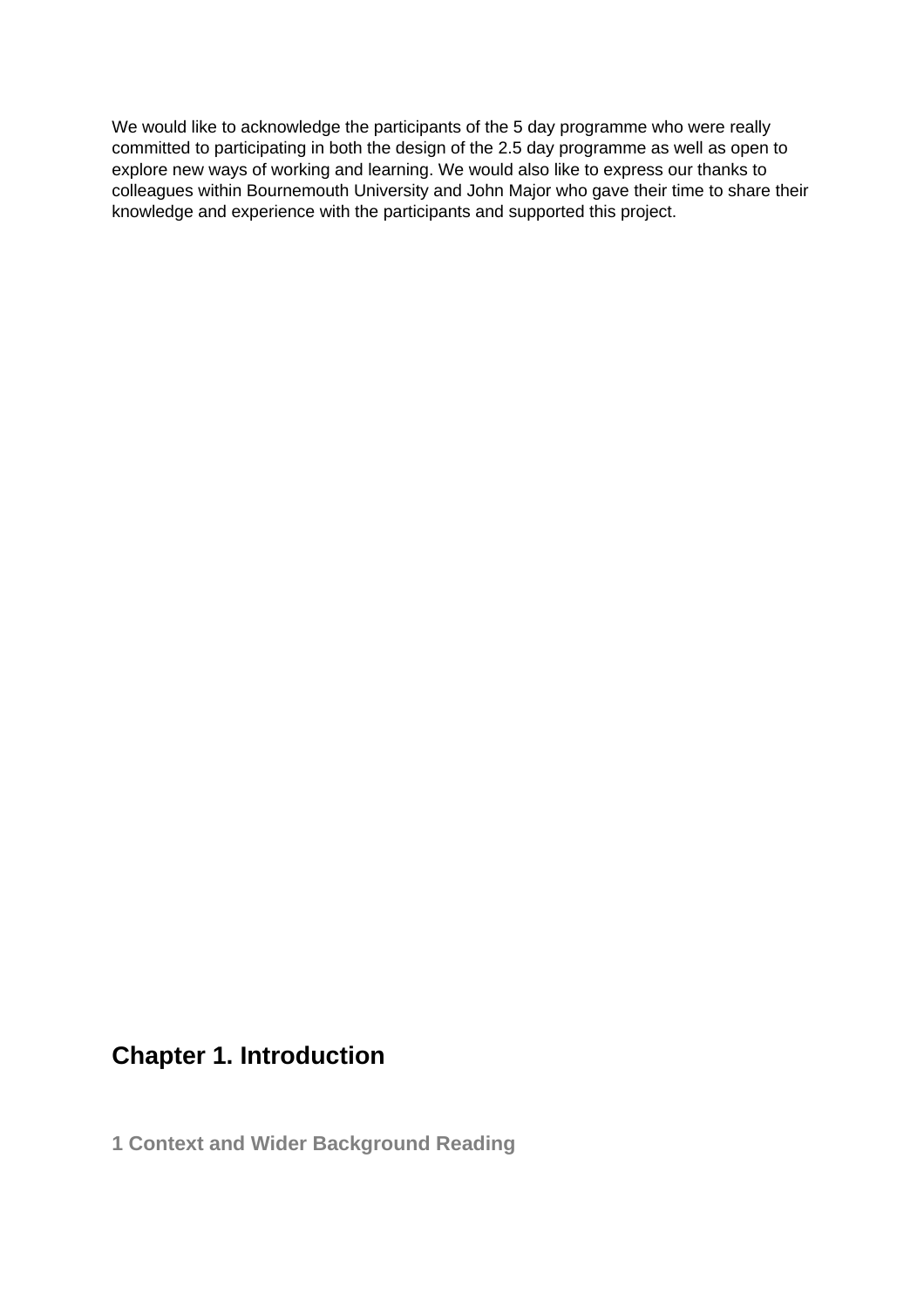We would like to acknowledge the participants of the 5 day programme who were really committed to participating in both the design of the 2.5 day programme as well as open to explore new ways of working and learning. We would also like to express our thanks to colleagues within Bournemouth University and John Major who gave their time to share their knowledge and experience with the participants and supported this project.

# **Chapter 1. Introduction**

**1 Context and Wider Background Reading**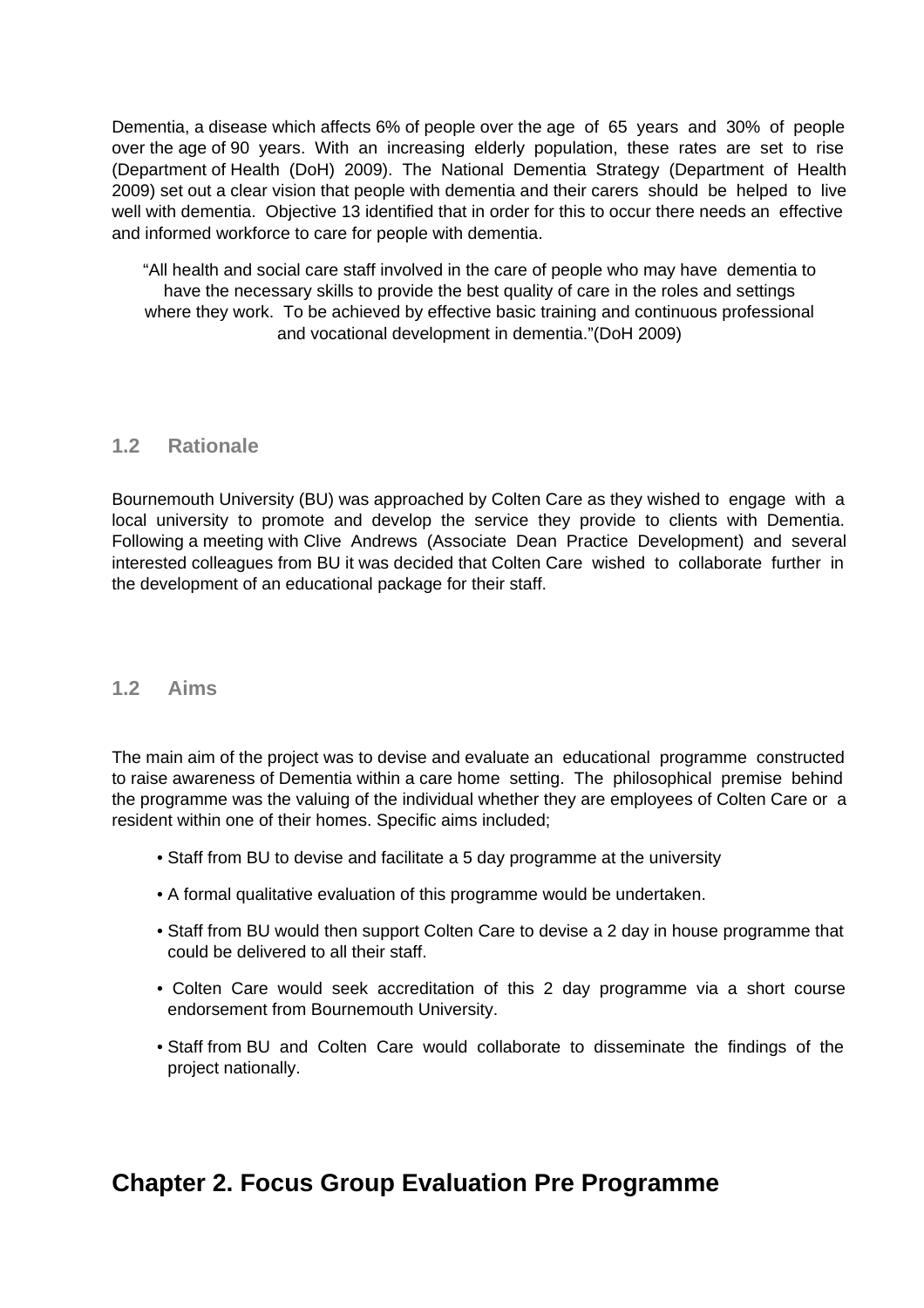Dementia, a disease which affects 6% of people over the age of 65 years and 30% of people over the age of 90 years. With an increasing elderly population, these rates are set to rise (Department of Health (DoH) 2009). The National Dementia Strategy (Department of Health 2009) set out a clear vision that people with dementia and their carers should be helped to live well with dementia. Objective 13 identified that in order for this to occur there needs an effective and informed workforce to care for people with dementia.

"All health and social care staff involved in the care of people who may have dementia to have the necessary skills to provide the best quality of care in the roles and settings where they work. To be achieved by effective basic training and continuous professional and vocational development in dementia."(DoH 2009)

### **1.2 Rationale**

Bournemouth University (BU) was approached by Colten Care as they wished to engage with a local university to promote and develop the service they provide to clients with Dementia. Following a meeting with Clive Andrews (Associate Dean Practice Development) and several interested colleagues from BU it was decided that Colten Care wished to collaborate further in the development of an educational package for their staff.

### **1.2 Aims**

The main aim of the project was to devise and evaluate an educational programme constructed to raise awareness of Dementia within a care home setting. The philosophical premise behind the programme was the valuing of the individual whether they are employees of Colten Care or a resident within one of their homes. Specific aims included;

- Staff from BU to devise and facilitate a 5 day programme at the university
- A formal qualitative evaluation of this programme would be undertaken.
- Staff from BU would then support Colten Care to devise a 2 day in house programme that could be delivered to all their staff.
- Colten Care would seek accreditation of this 2 day programme via a short course endorsement from Bournemouth University.
- Staff from BU and Colten Care would collaborate to disseminate the findings of the project nationally.

# **Chapter 2. Focus Group Evaluation Pre Programme**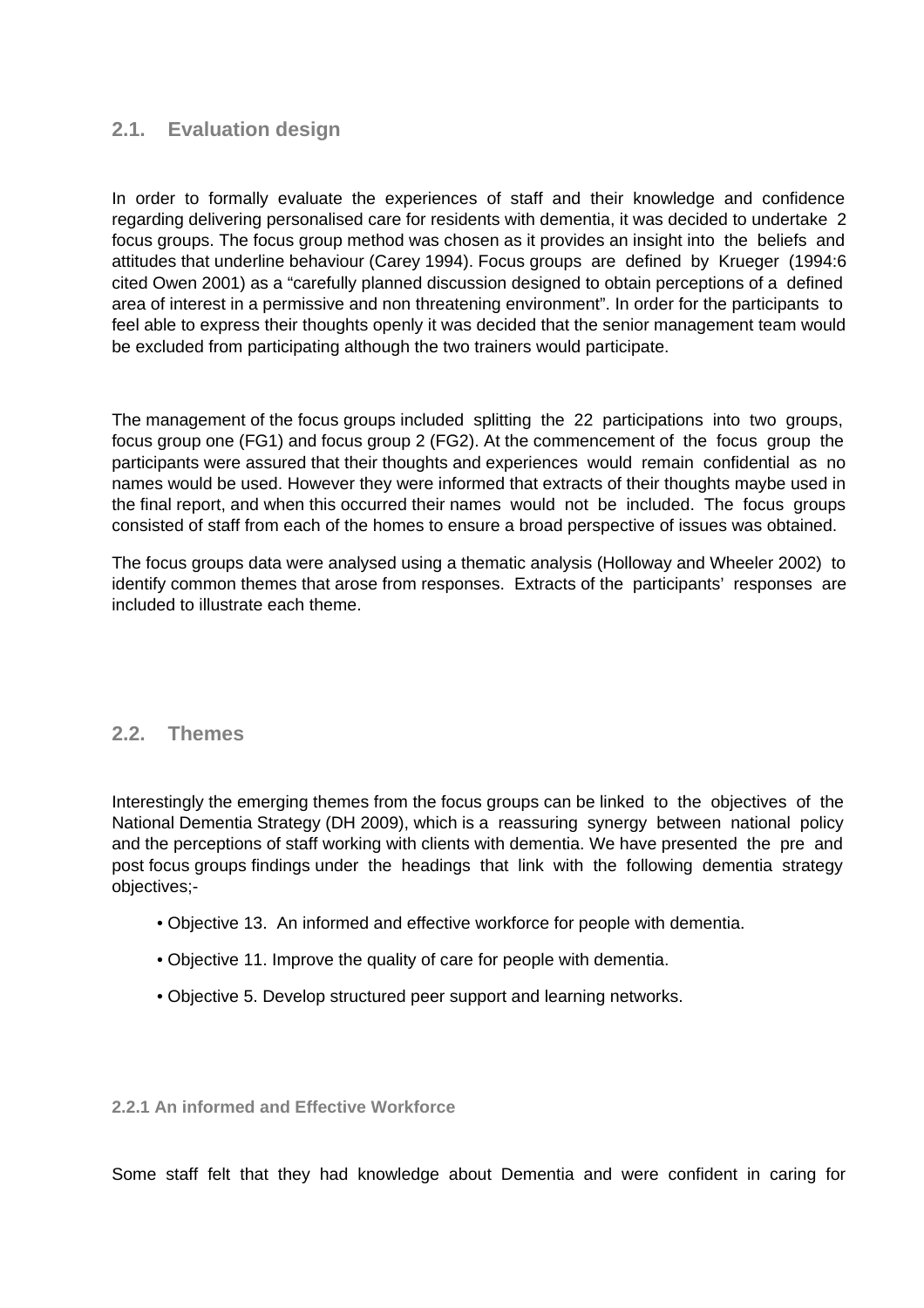## **2.1. Evaluation design**

In order to formally evaluate the experiences of staff and their knowledge and confidence regarding delivering personalised care for residents with dementia, it was decided to undertake 2 focus groups. The focus group method was chosen as it provides an insight into the beliefs and attitudes that underline behaviour (Carey 1994). Focus groups are defined by Krueger (1994:6 cited Owen 2001) as a "carefully planned discussion designed to obtain perceptions of a defined area of interest in a permissive and non threatening environment". In order for the participants to feel able to express their thoughts openly it was decided that the senior management team would be excluded from participating although the two trainers would participate.

The management of the focus groups included splitting the 22 participations into two groups, focus group one (FG1) and focus group 2 (FG2). At the commencement of the focus group the participants were assured that their thoughts and experiences would remain confidential as no names would be used. However they were informed that extracts of their thoughts maybe used in the final report, and when this occurred their names would not be included. The focus groups consisted of staff from each of the homes to ensure a broad perspective of issues was obtained.

The focus groups data were analysed using a thematic analysis (Holloway and Wheeler 2002) to identify common themes that arose from responses. Extracts of the participants' responses are included to illustrate each theme.

### **2.2. Themes**

Interestingly the emerging themes from the focus groups can be linked to the objectives of the National Dementia Strategy (DH 2009), which is a reassuring synergy between national policy and the perceptions of staff working with clients with dementia. We have presented the pre and post focus groups findings under the headings that link with the following dementia strategy objectives;-

- Objective 13. An informed and effective workforce for people with dementia.
- Objective 11. Improve the quality of care for people with dementia.
- Objective 5. Develop structured peer support and learning networks.

**2.2.1 An informed and Effective Workforce**

Some staff felt that they had knowledge about Dementia and were confident in caring for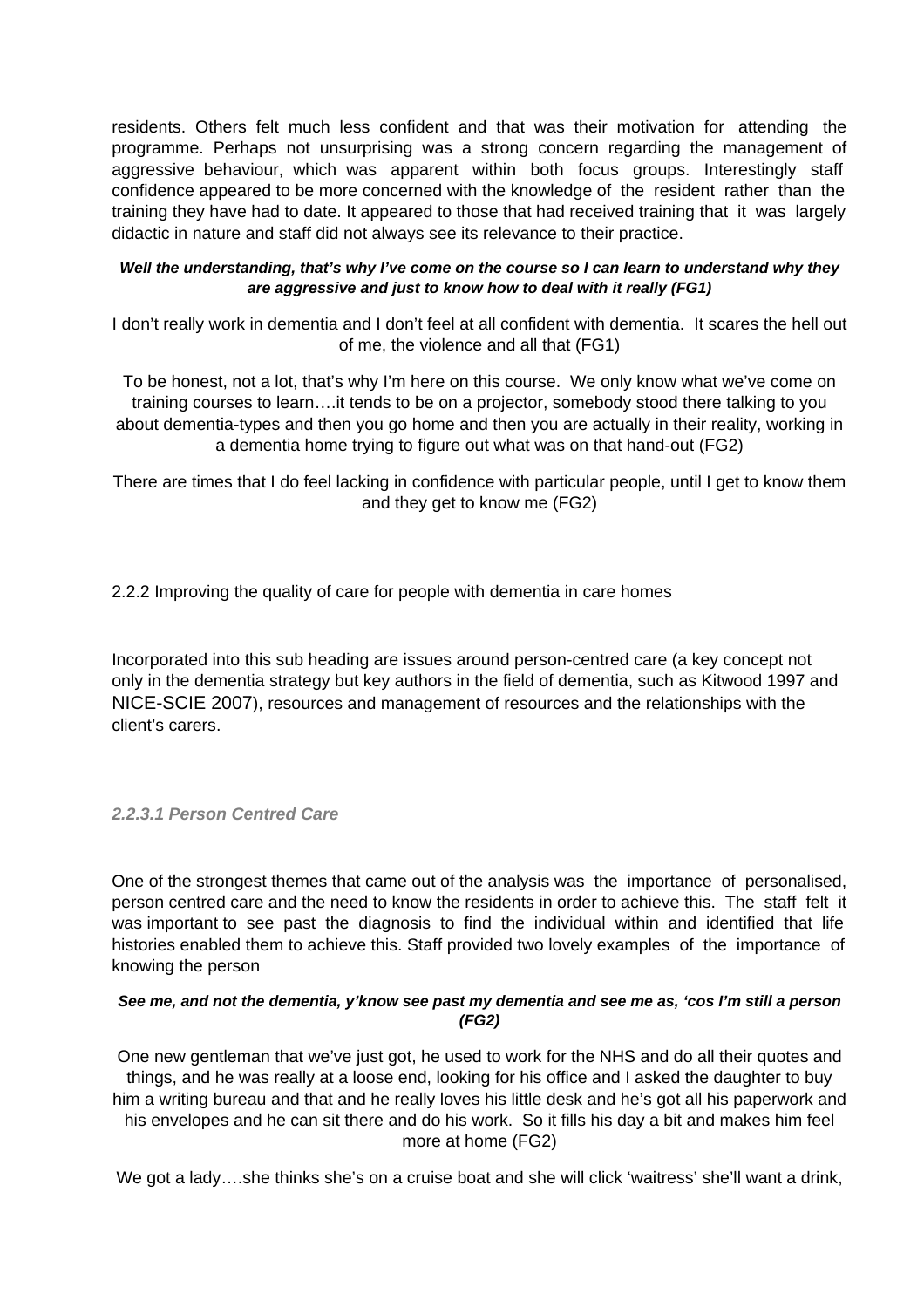residents. Others felt much less confident and that was their motivation for attending the programme. Perhaps not unsurprising was a strong concern regarding the management of aggressive behaviour, which was apparent within both focus groups. Interestingly staff confidence appeared to be more concerned with the knowledge of the resident rather than the training they have had to date. It appeared to those that had received training that it was largely didactic in nature and staff did not always see its relevance to their practice.

#### **Well the understanding, that's why I've come on the course so I can learn to understand why they are aggressive and just to know how to deal with it really (FG1)**

I don't really work in dementia and I don't feel at all confident with dementia. It scares the hell out of me, the violence and all that (FG1)

To be honest, not a lot, that's why I'm here on this course. We only know what we've come on training courses to learn….it tends to be on a projector, somebody stood there talking to you about dementia-types and then you go home and then you are actually in their reality, working in a dementia home trying to figure out what was on that hand-out (FG2)

There are times that I do feel lacking in confidence with particular people, until I get to know them and they get to know me (FG2)

2.2.2 Improving the quality of care for people with dementia in care homes

Incorporated into this sub heading are issues around person-centred care (a key concept not only in the dementia strategy but key authors in the field of dementia, such as Kitwood 1997 and NICE-SCIE 2007), resources and management of resources and the relationships with the client's carers.

#### **2.2.3.1 Person Centred Care**

One of the strongest themes that came out of the analysis was the importance of personalised, person centred care and the need to know the residents in order to achieve this. The staff felt it was important to see past the diagnosis to find the individual within and identified that life histories enabled them to achieve this. Staff provided two lovely examples of the importance of knowing the person

#### **See me, and not the dementia, y'know see past my dementia and see me as, 'cos I'm still a person (FG2)**

One new gentleman that we've just got, he used to work for the NHS and do all their quotes and things, and he was really at a loose end, looking for his office and I asked the daughter to buy him a writing bureau and that and he really loves his little desk and he's got all his paperwork and his envelopes and he can sit there and do his work. So it fills his day a bit and makes him feel more at home (FG2)

We got a lady….she thinks she's on a cruise boat and she will click 'waitress' she'll want a drink,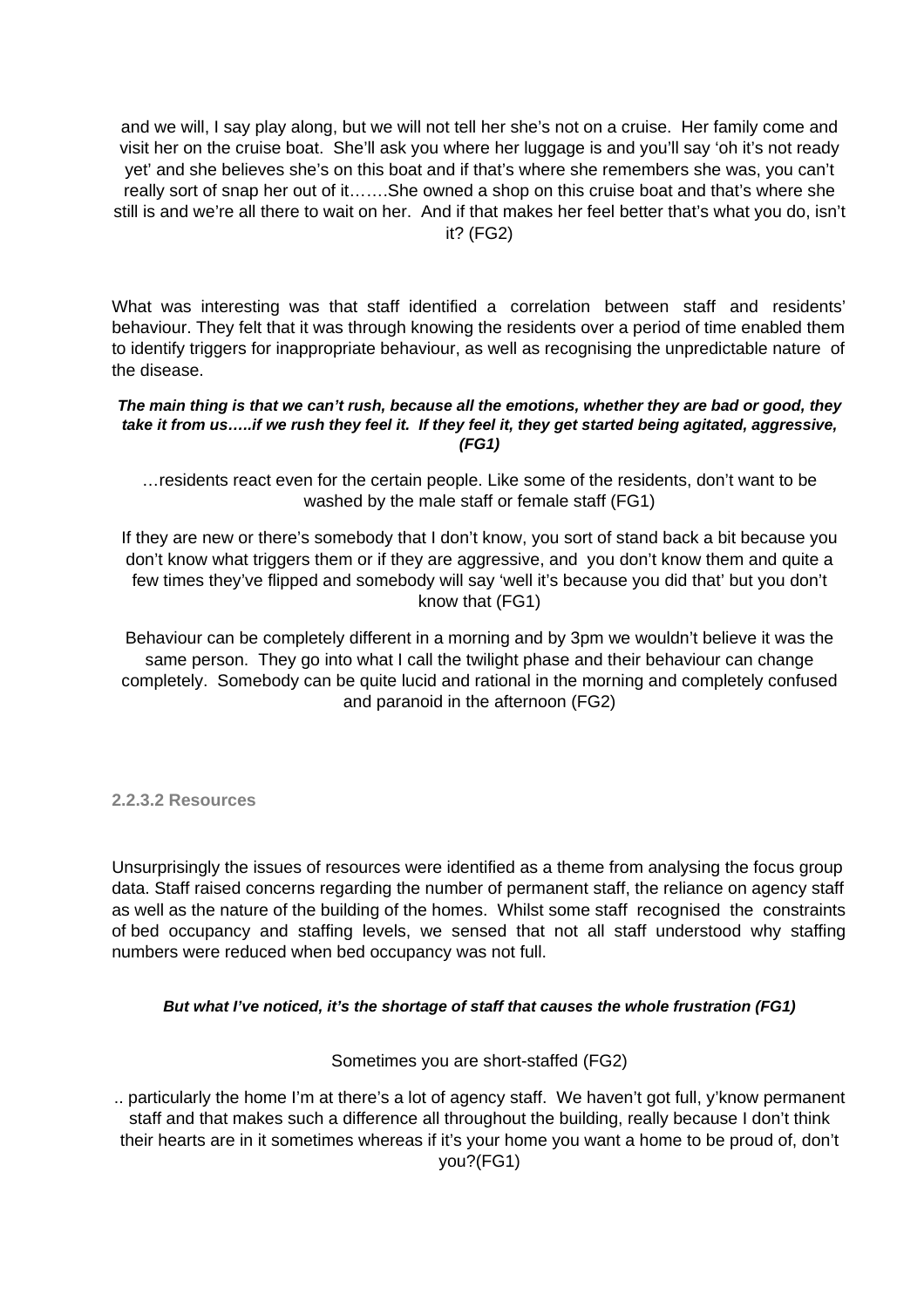and we will, I say play along, but we will not tell her she's not on a cruise. Her family come and visit her on the cruise boat. She'll ask you where her luggage is and you'll say 'oh it's not ready yet' and she believes she's on this boat and if that's where she remembers she was, you can't really sort of snap her out of it…….She owned a shop on this cruise boat and that's where she still is and we're all there to wait on her. And if that makes her feel better that's what you do, isn't it? (FG2)

What was interesting was that staff identified a correlation between staff and residents' behaviour. They felt that it was through knowing the residents over a period of time enabled them to identify triggers for inappropriate behaviour, as well as recognising the unpredictable nature of the disease.

#### **The main thing is that we can't rush, because all the emotions, whether they are bad or good, they take it from us…..if we rush they feel it. If they feel it, they get started being agitated, aggressive, (FG1)**

…residents react even for the certain people. Like some of the residents, don't want to be washed by the male staff or female staff (FG1)

If they are new or there's somebody that I don't know, you sort of stand back a bit because you don't know what triggers them or if they are aggressive, and you don't know them and quite a few times they've flipped and somebody will say 'well it's because you did that' but you don't know that (FG1)

Behaviour can be completely different in a morning and by 3pm we wouldn't believe it was the same person. They go into what I call the twilight phase and their behaviour can change completely. Somebody can be quite lucid and rational in the morning and completely confused and paranoid in the afternoon (FG2)

**2.2.3.2 Resources**

Unsurprisingly the issues of resources were identified as a theme from analysing the focus group data. Staff raised concerns regarding the number of permanent staff, the reliance on agency staff as well as the nature of the building of the homes. Whilst some staff recognised the constraints of bed occupancy and staffing levels, we sensed that not all staff understood why staffing numbers were reduced when bed occupancy was not full.

#### **But what I've noticed, it's the shortage of staff that causes the whole frustration (FG1)**

#### Sometimes you are short-staffed (FG2)

.. particularly the home I'm at there's a lot of agency staff. We haven't got full, y'know permanent staff and that makes such a difference all throughout the building, really because I don't think their hearts are in it sometimes whereas if it's your home you want a home to be proud of, don't you?(FG1)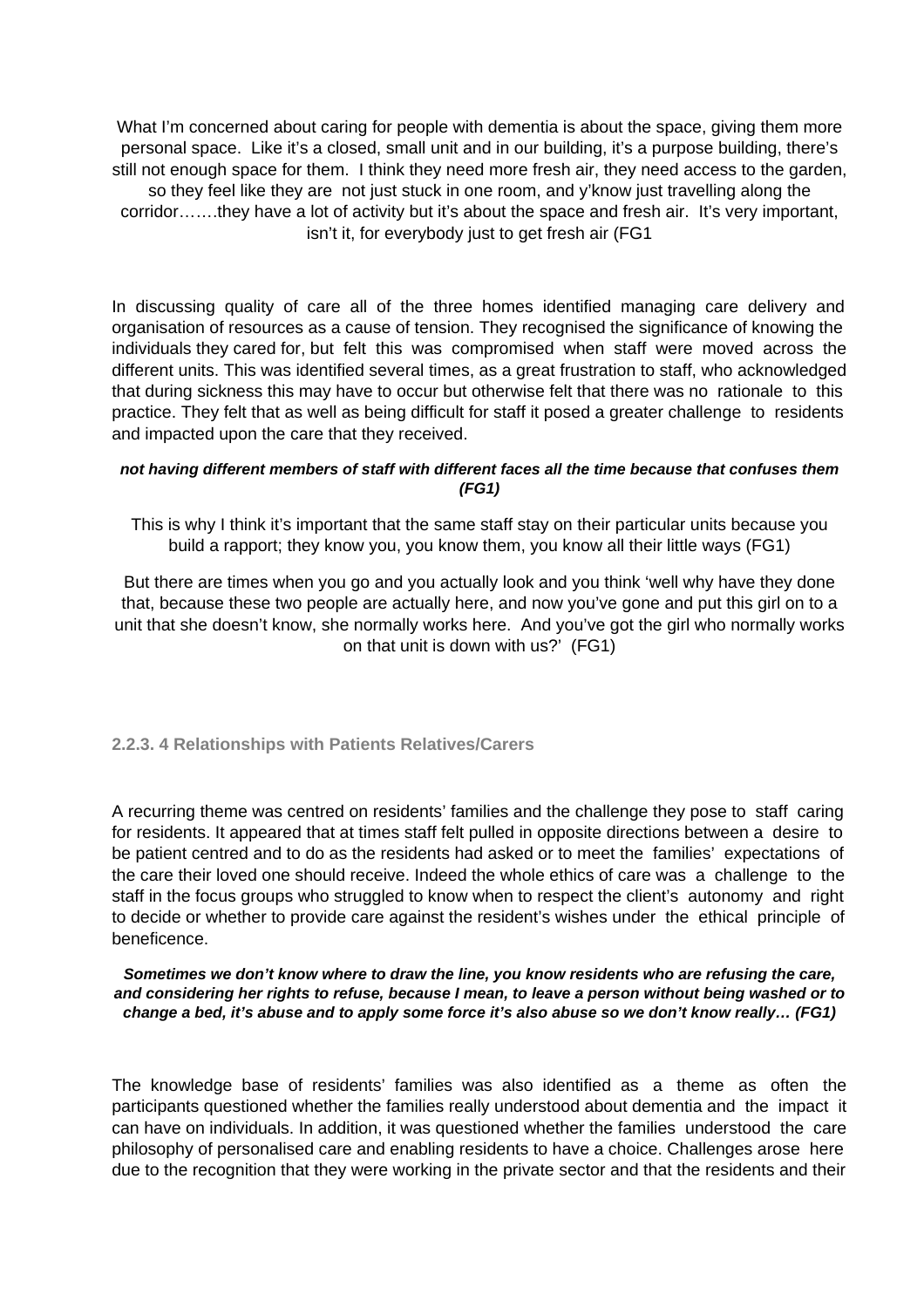What I'm concerned about caring for people with dementia is about the space, giving them more personal space. Like it's a closed, small unit and in our building, it's a purpose building, there's still not enough space for them. I think they need more fresh air, they need access to the garden, so they feel like they are not just stuck in one room, and y'know just travelling along the corridor…….they have a lot of activity but it's about the space and fresh air. It's very important, isn't it, for everybody just to get fresh air (FG1

In discussing quality of care all of the three homes identified managing care delivery and organisation of resources as a cause of tension. They recognised the significance of knowing the individuals they cared for, but felt this was compromised when staff were moved across the different units. This was identified several times, as a great frustration to staff, who acknowledged that during sickness this may have to occur but otherwise felt that there was no rationale to this practice. They felt that as well as being difficult for staff it posed a greater challenge to residents and impacted upon the care that they received.

#### **not having different members of staff with different faces all the time because that confuses them (FG1)**

This is why I think it's important that the same staff stay on their particular units because you build a rapport; they know you, you know them, you know all their little ways (FG1)

But there are times when you go and you actually look and you think 'well why have they done that, because these two people are actually here, and now you've gone and put this girl on to a unit that she doesn't know, she normally works here. And you've got the girl who normally works on that unit is down with us?' (FG1)

#### **2.2.3. 4 Relationships with Patients Relatives/Carers**

A recurring theme was centred on residents' families and the challenge they pose to staff caring for residents. It appeared that at times staff felt pulled in opposite directions between a desire to be patient centred and to do as the residents had asked or to meet the families' expectations of the care their loved one should receive. Indeed the whole ethics of care was a challenge to the staff in the focus groups who struggled to know when to respect the client's autonomy and right to decide or whether to provide care against the resident's wishes under the ethical principle of beneficence.

**Sometimes we don't know where to draw the line, you know residents who are refusing the care, and considering her rights to refuse, because I mean, to leave a person without being washed or to change a bed, it's abuse and to apply some force it's also abuse so we don't know really… (FG1)**

The knowledge base of residents' families was also identified as a theme as often the participants questioned whether the families really understood about dementia and the impact it can have on individuals. In addition, it was questioned whether the families understood the care philosophy of personalised care and enabling residents to have a choice. Challenges arose here due to the recognition that they were working in the private sector and that the residents and their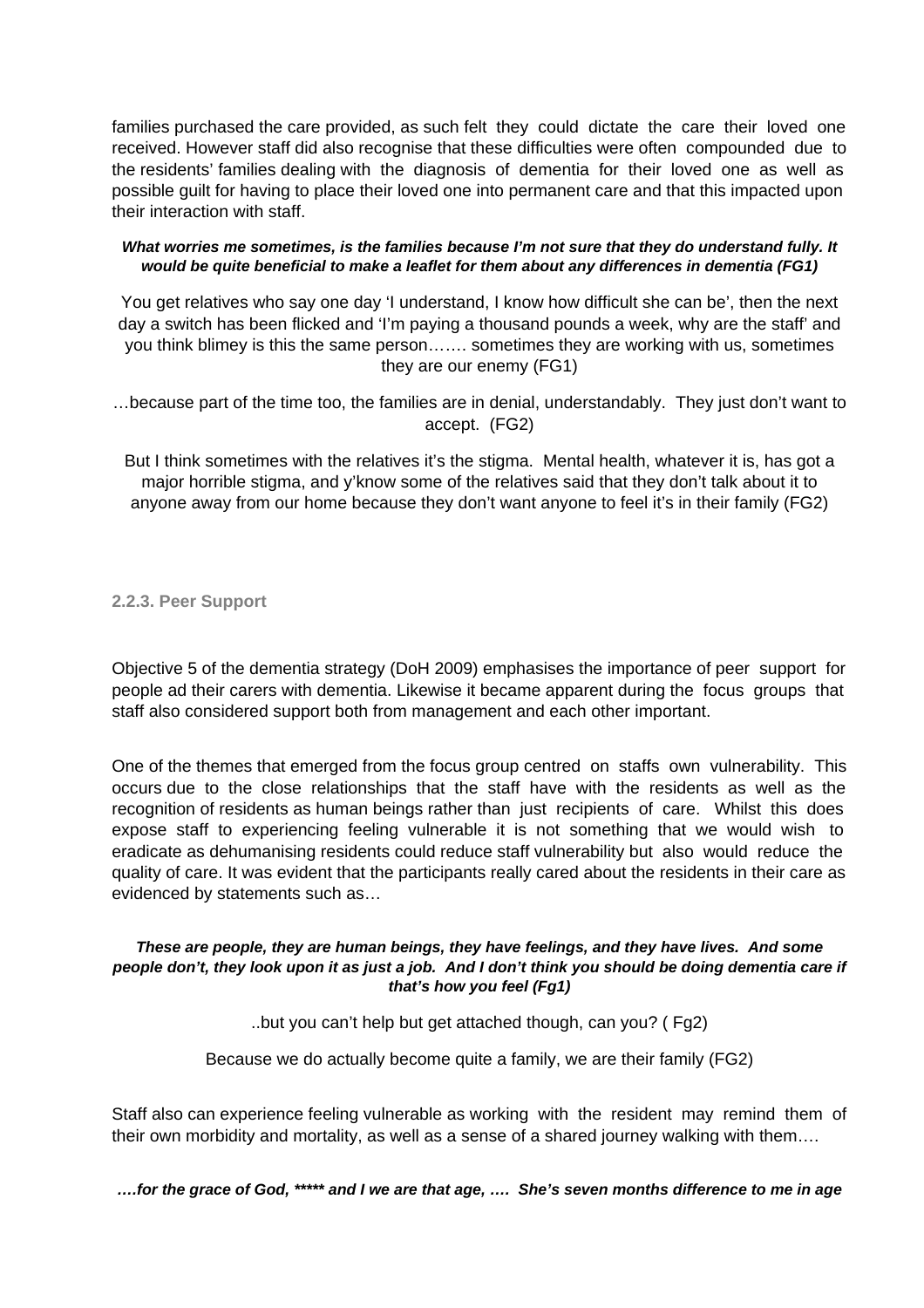families purchased the care provided, as such felt they could dictate the care their loved one received. However staff did also recognise that these difficulties were often compounded due to the residents' families dealing with the diagnosis of dementia for their loved one as well as possible guilt for having to place their loved one into permanent care and that this impacted upon their interaction with staff.

#### **What worries me sometimes, is the families because I'm not sure that they do understand fully. It would be quite beneficial to make a leaflet for them about any differences in dementia (FG1)**

You get relatives who say one day 'I understand, I know how difficult she can be', then the next day a switch has been flicked and 'I'm paying a thousand pounds a week, why are the staff' and you think blimey is this the same person……. sometimes they are working with us, sometimes they are our enemy (FG1)

…because part of the time too, the families are in denial, understandably. They just don't want to accept. (FG2)

But I think sometimes with the relatives it's the stigma. Mental health, whatever it is, has got a major horrible stigma, and y'know some of the relatives said that they don't talk about it to anyone away from our home because they don't want anyone to feel it's in their family (FG2)

#### **2.2.3. Peer Support**

Objective 5 of the dementia strategy (DoH 2009) emphasises the importance of peer support for people ad their carers with dementia. Likewise it became apparent during the focus groups that staff also considered support both from management and each other important.

One of the themes that emerged from the focus group centred on staffs own vulnerability. This occurs due to the close relationships that the staff have with the residents as well as the recognition of residents as human beings rather than just recipients of care. Whilst this does expose staff to experiencing feeling vulnerable it is not something that we would wish to eradicate as dehumanising residents could reduce staff vulnerability but also would reduce the quality of care. It was evident that the participants really cared about the residents in their care as evidenced by statements such as…

#### **These are people, they are human beings, they have feelings, and they have lives. And some people don't, they look upon it as just a job. And I don't think you should be doing dementia care if that's how you feel (Fg1)**

..but you can't help but get attached though, can you? ( Fg2)

Because we do actually become quite a family, we are their family (FG2)

Staff also can experience feeling vulnerable as working with the resident may remind them of their own morbidity and mortality, as well as a sense of a shared journey walking with them….

**….for the grace of God, \*\*\*\*\* and I we are that age, …. She's seven months difference to me in age**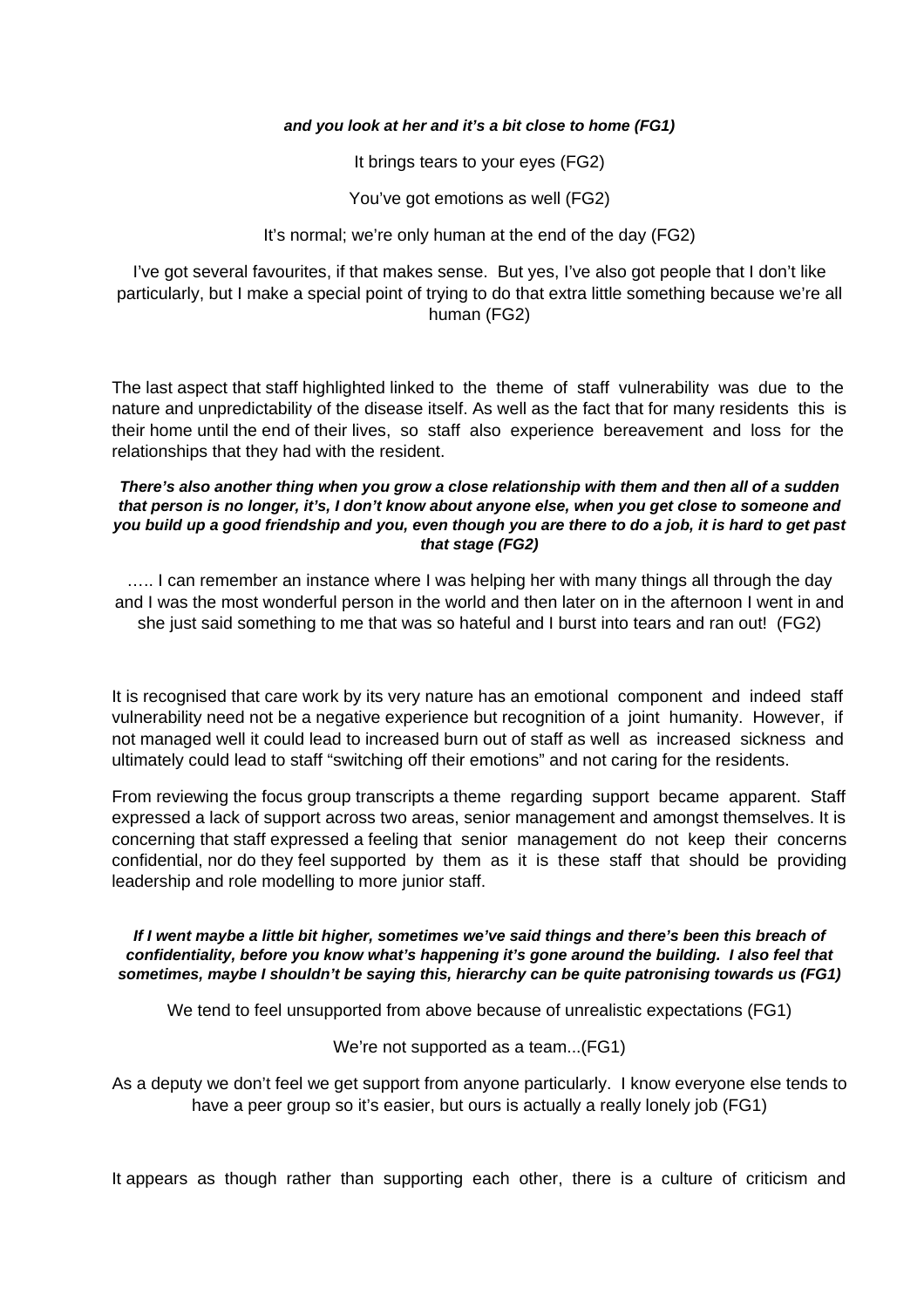#### **and you look at her and it's a bit close to home (FG1)**

It brings tears to your eyes (FG2)

You've got emotions as well (FG2)

It's normal; we're only human at the end of the day (FG2)

I've got several favourites, if that makes sense. But yes, I've also got people that I don't like particularly, but I make a special point of trying to do that extra little something because we're all human (FG2)

The last aspect that staff highlighted linked to the theme of staff vulnerability was due to the nature and unpredictability of the disease itself. As well as the fact that for many residents this is their home until the end of their lives, so staff also experience bereavement and loss for the relationships that they had with the resident.

#### **There's also another thing when you grow a close relationship with them and then all of a sudden that person is no longer, it's, I don't know about anyone else, when you get close to someone and you build up a good friendship and you, even though you are there to do a job, it is hard to get past that stage (FG2)**

….. I can remember an instance where I was helping her with many things all through the day and I was the most wonderful person in the world and then later on in the afternoon I went in and she just said something to me that was so hateful and I burst into tears and ran out! (FG2)

It is recognised that care work by its very nature has an emotional component and indeed staff vulnerability need not be a negative experience but recognition of a joint humanity. However, if not managed well it could lead to increased burn out of staff as well as increased sickness and ultimately could lead to staff "switching off their emotions" and not caring for the residents.

From reviewing the focus group transcripts a theme regarding support became apparent. Staff expressed a lack of support across two areas, senior management and amongst themselves. It is concerning that staff expressed a feeling that senior management do not keep their concerns confidential, nor do they feel supported by them as it is these staff that should be providing leadership and role modelling to more junior staff.

#### **If I went maybe a little bit higher, sometimes we've said things and there's been this breach of confidentiality, before you know what's happening it's gone around the building. I also feel that sometimes, maybe I shouldn't be saying this, hierarchy can be quite patronising towards us (FG1)**

We tend to feel unsupported from above because of unrealistic expectations (FG1)

We're not supported as a team...(FG1)

As a deputy we don't feel we get support from anyone particularly. I know everyone else tends to have a peer group so it's easier, but ours is actually a really lonely job (FG1)

It appears as though rather than supporting each other, there is a culture of criticism and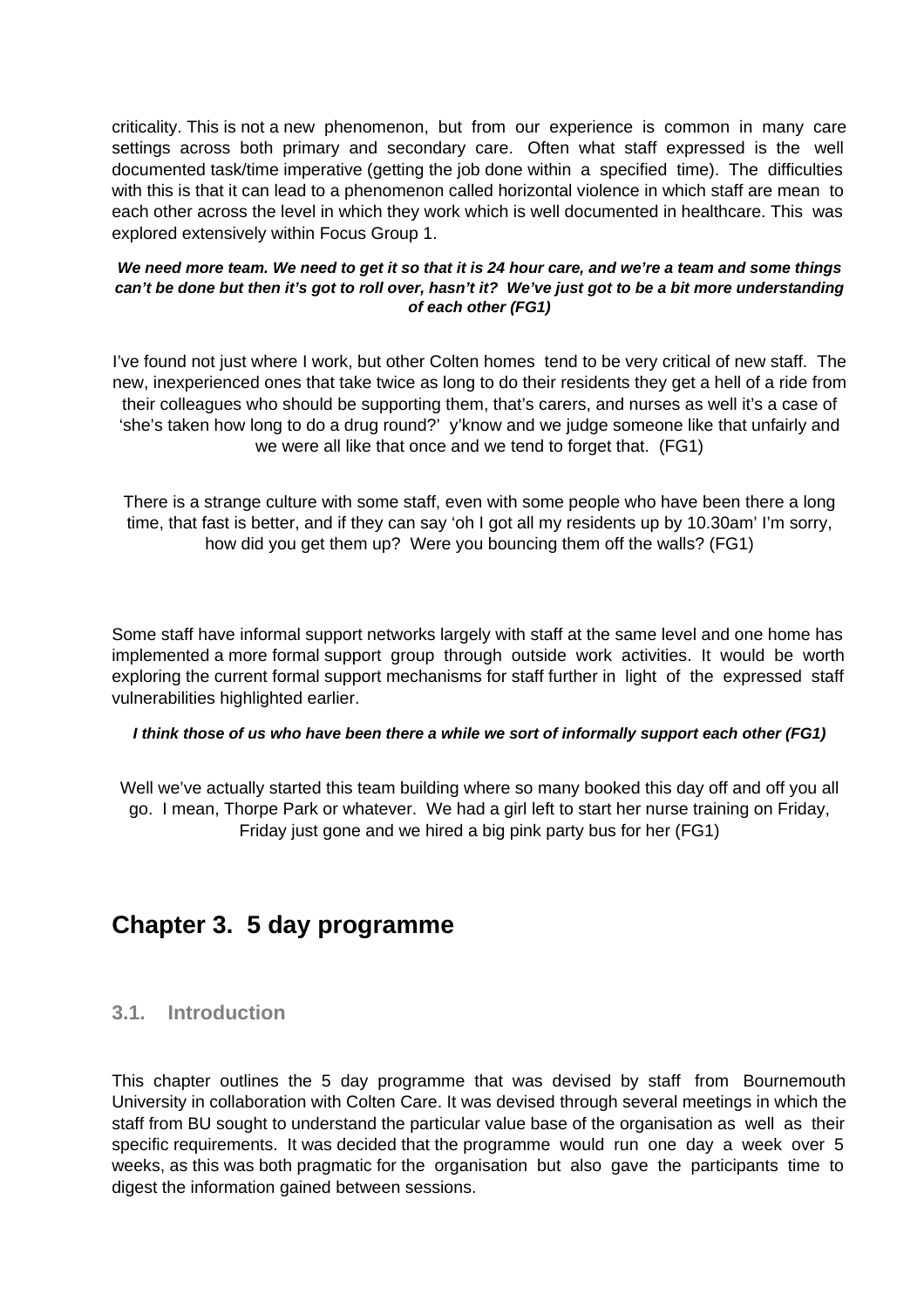criticality. This is not a new phenomenon, but from our experience is common in many care settings across both primary and secondary care. Often what staff expressed is the well documented task/time imperative (getting the job done within a specified time). The difficulties with this is that it can lead to a phenomenon called horizontal violence in which staff are mean to each other across the level in which they work which is well documented in healthcare. This was explored extensively within Focus Group 1.

#### **We need more team. We need to get it so that it is 24 hour care, and we're a team and some things can't be done but then it's got to roll over, hasn't it? We've just got to be a bit more understanding of each other (FG1)**

I've found not just where I work, but other Colten homes tend to be very critical of new staff. The new, inexperienced ones that take twice as long to do their residents they get a hell of a ride from their colleagues who should be supporting them, that's carers, and nurses as well it's a case of 'she's taken how long to do a drug round?' y'know and we judge someone like that unfairly and we were all like that once and we tend to forget that. (FG1)

There is a strange culture with some staff, even with some people who have been there a long time, that fast is better, and if they can say 'oh I got all my residents up by 10.30am' I'm sorry, how did you get them up? Were you bouncing them off the walls? (FG1)

Some staff have informal support networks largely with staff at the same level and one home has implemented a more formal support group through outside work activities. It would be worth exploring the current formal support mechanisms for staff further in light of the expressed staff vulnerabilities highlighted earlier.

#### **I think those of us who have been there a while we sort of informally support each other (FG1)**

Well we've actually started this team building where so many booked this day off and off you all go. I mean, Thorpe Park or whatever. We had a girl left to start her nurse training on Friday, Friday just gone and we hired a big pink party bus for her (FG1)

# **Chapter 3. 5 day programme**

### **3.1. Introduction**

This chapter outlines the 5 day programme that was devised by staff from Bournemouth University in collaboration with Colten Care. It was devised through several meetings in which the staff from BU sought to understand the particular value base of the organisation as well as their specific requirements. It was decided that the programme would run one day a week over 5 weeks, as this was both pragmatic for the organisation but also gave the participants time to digest the information gained between sessions.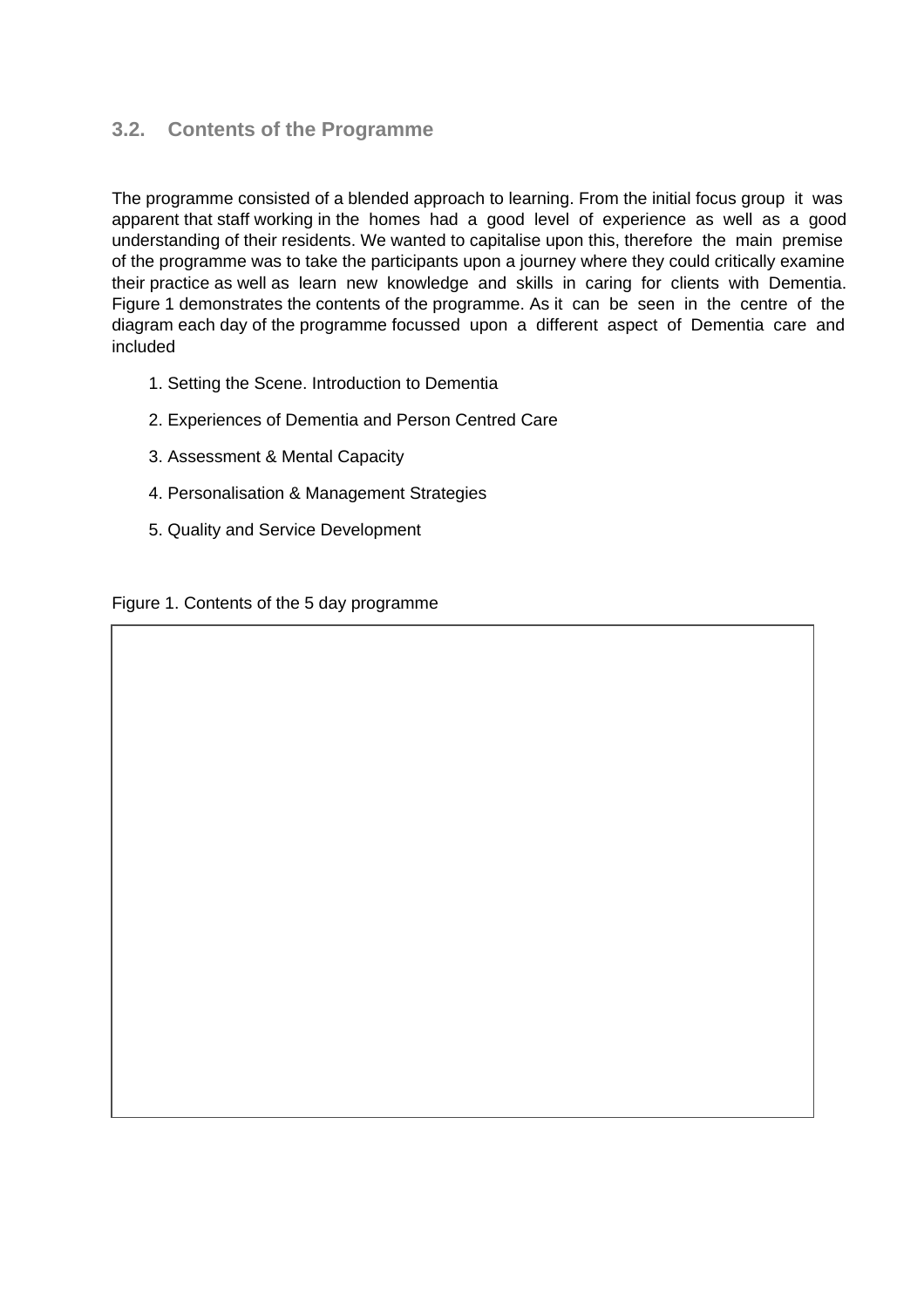## **3.2. Contents of the Programme**

The programme consisted of a blended approach to learning. From the initial focus group it was apparent that staff working in the homes had a good level of experience as well as a good understanding of their residents. We wanted to capitalise upon this, therefore the main premise of the programme was to take the participants upon a journey where they could critically examine their practice as well as learn new knowledge and skills in caring for clients with Dementia. Figure 1 demonstrates the contents of the programme. As it can be seen in the centre of the diagram each day of the programme focussed upon a different aspect of Dementia care and included

- 1. Setting the Scene. Introduction to Dementia
- 2. Experiences of Dementia and Person Centred Care
- 3. Assessment & Mental Capacity
- 4. Personalisation & Management Strategies
- 5. Quality and Service Development

Figure 1. Contents of the 5 day programme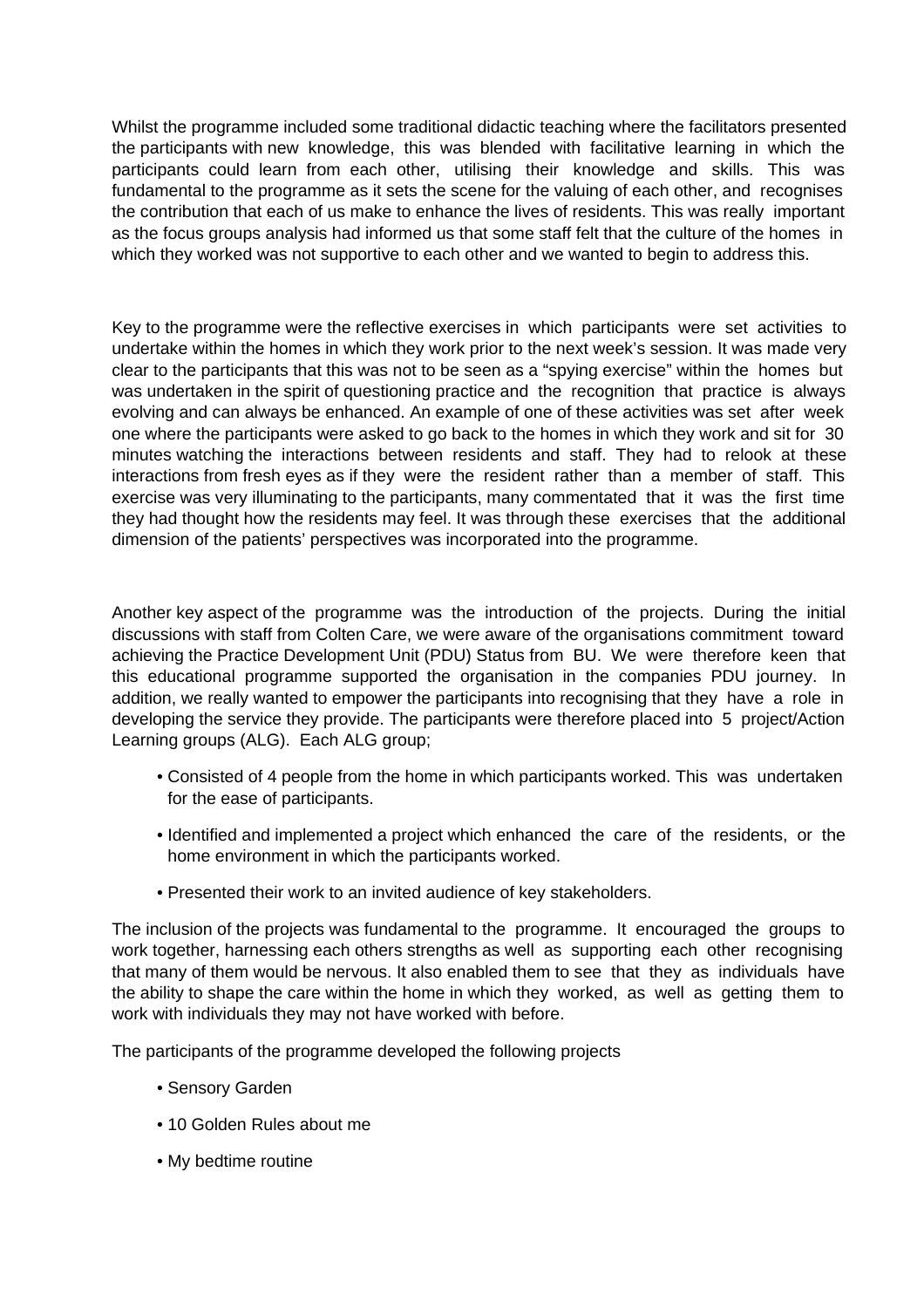Whilst the programme included some traditional didactic teaching where the facilitators presented the participants with new knowledge, this was blended with facilitative learning in which the participants could learn from each other, utilising their knowledge and skills. This was fundamental to the programme as it sets the scene for the valuing of each other, and recognises the contribution that each of us make to enhance the lives of residents. This was really important as the focus groups analysis had informed us that some staff felt that the culture of the homes in which they worked was not supportive to each other and we wanted to begin to address this.

Key to the programme were the reflective exercises in which participants were set activities to undertake within the homes in which they work prior to the next week's session. It was made very clear to the participants that this was not to be seen as a "spying exercise" within the homes but was undertaken in the spirit of questioning practice and the recognition that practice is always evolving and can always be enhanced. An example of one of these activities was set after week one where the participants were asked to go back to the homes in which they work and sit for 30 minutes watching the interactions between residents and staff. They had to relook at these interactions from fresh eyes as if they were the resident rather than a member of staff. This exercise was very illuminating to the participants, many commentated that it was the first time they had thought how the residents may feel. It was through these exercises that the additional dimension of the patients' perspectives was incorporated into the programme.

Another key aspect of the programme was the introduction of the projects. During the initial discussions with staff from Colten Care, we were aware of the organisations commitment toward achieving the Practice Development Unit (PDU) Status from BU. We were therefore keen that this educational programme supported the organisation in the companies PDU journey. In addition, we really wanted to empower the participants into recognising that they have a role in developing the service they provide. The participants were therefore placed into 5 project/Action Learning groups (ALG). Each ALG group;

- Consisted of 4 people from the home in which participants worked. This was undertaken for the ease of participants.
- Identified and implemented a project which enhanced the care of the residents, or the home environment in which the participants worked.
- Presented their work to an invited audience of key stakeholders.

The inclusion of the projects was fundamental to the programme. It encouraged the groups to work together, harnessing each others strengths as well as supporting each other recognising that many of them would be nervous. It also enabled them to see that they as individuals have the ability to shape the care within the home in which they worked, as well as getting them to work with individuals they may not have worked with before.

The participants of the programme developed the following projects

- Sensory Garden
- 10 Golden Rules about me
- My bedtime routine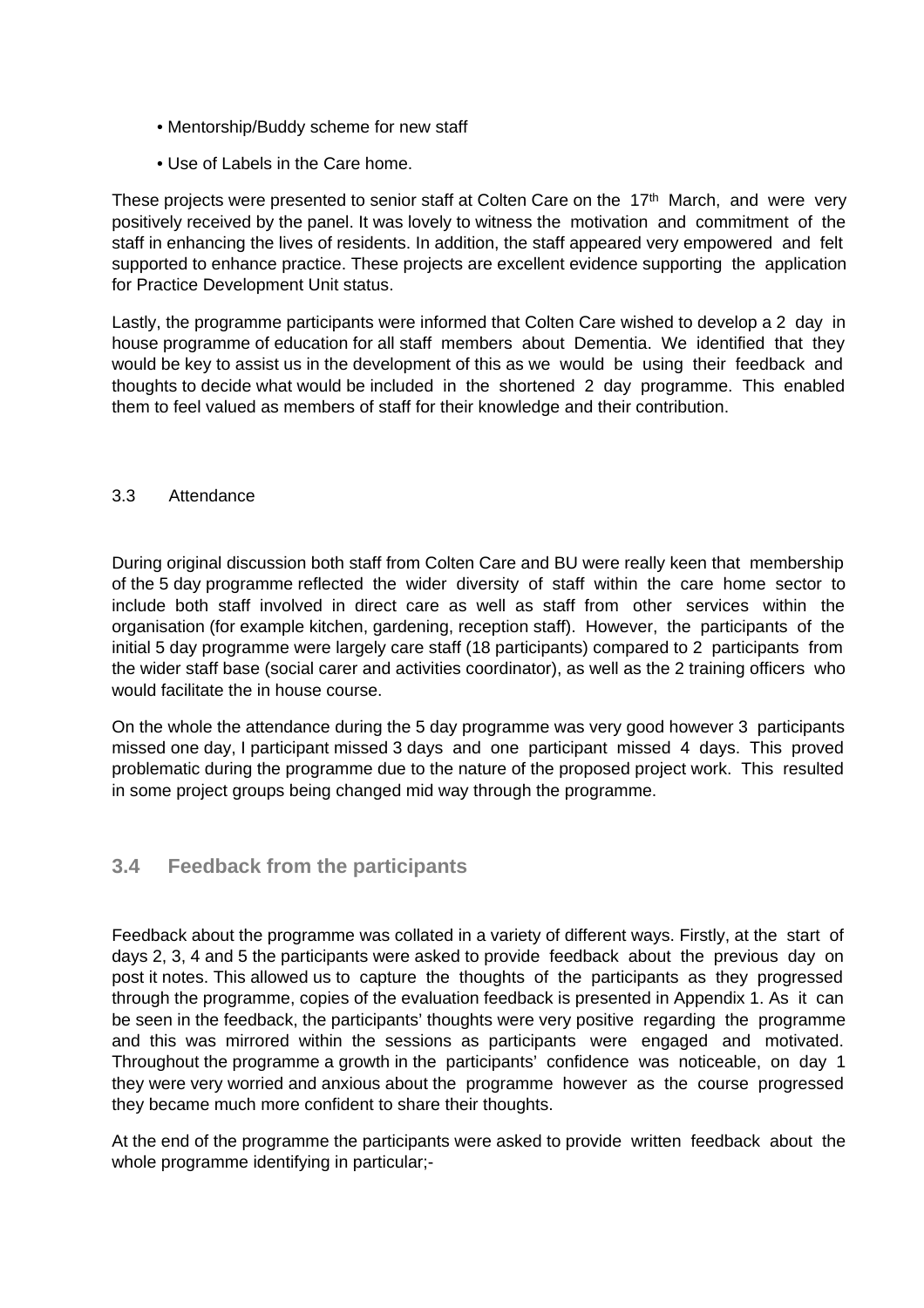- Mentorship/Buddy scheme for new staff
- Use of Labels in the Care home.

These projects were presented to senior staff at Colten Care on the  $17<sup>th</sup>$  March, and were very positively received by the panel. It was lovely to witness the motivation and commitment of the staff in enhancing the lives of residents. In addition, the staff appeared very empowered and felt supported to enhance practice. These projects are excellent evidence supporting the application for Practice Development Unit status.

Lastly, the programme participants were informed that Colten Care wished to develop a 2 day in house programme of education for all staff members about Dementia. We identified that they would be key to assist us in the development of this as we would be using their feedback and thoughts to decide what would be included in the shortened 2 day programme. This enabled them to feel valued as members of staff for their knowledge and their contribution.

#### 3.3 Attendance

During original discussion both staff from Colten Care and BU were really keen that membership of the 5 day programme reflected the wider diversity of staff within the care home sector to include both staff involved in direct care as well as staff from other services within the organisation (for example kitchen, gardening, reception staff). However, the participants of the initial 5 day programme were largely care staff (18 participants) compared to 2 participants from the wider staff base (social carer and activities coordinator), as well as the 2 training officers who would facilitate the in house course.

On the whole the attendance during the 5 day programme was very good however 3 participants missed one day, I participant missed 3 days and one participant missed 4 days. This proved problematic during the programme due to the nature of the proposed project work. This resulted in some project groups being changed mid way through the programme.

### **3.4 Feedback from the participants**

Feedback about the programme was collated in a variety of different ways. Firstly, at the start of days 2, 3, 4 and 5 the participants were asked to provide feedback about the previous day on post it notes. This allowed us to capture the thoughts of the participants as they progressed through the programme, copies of the evaluation feedback is presented in Appendix 1. As it can be seen in the feedback, the participants' thoughts were very positive regarding the programme and this was mirrored within the sessions as participants were engaged and motivated. Throughout the programme a growth in the participants' confidence was noticeable, on day 1 they were very worried and anxious about the programme however as the course progressed they became much more confident to share their thoughts.

At the end of the programme the participants were asked to provide written feedback about the whole programme identifying in particular;-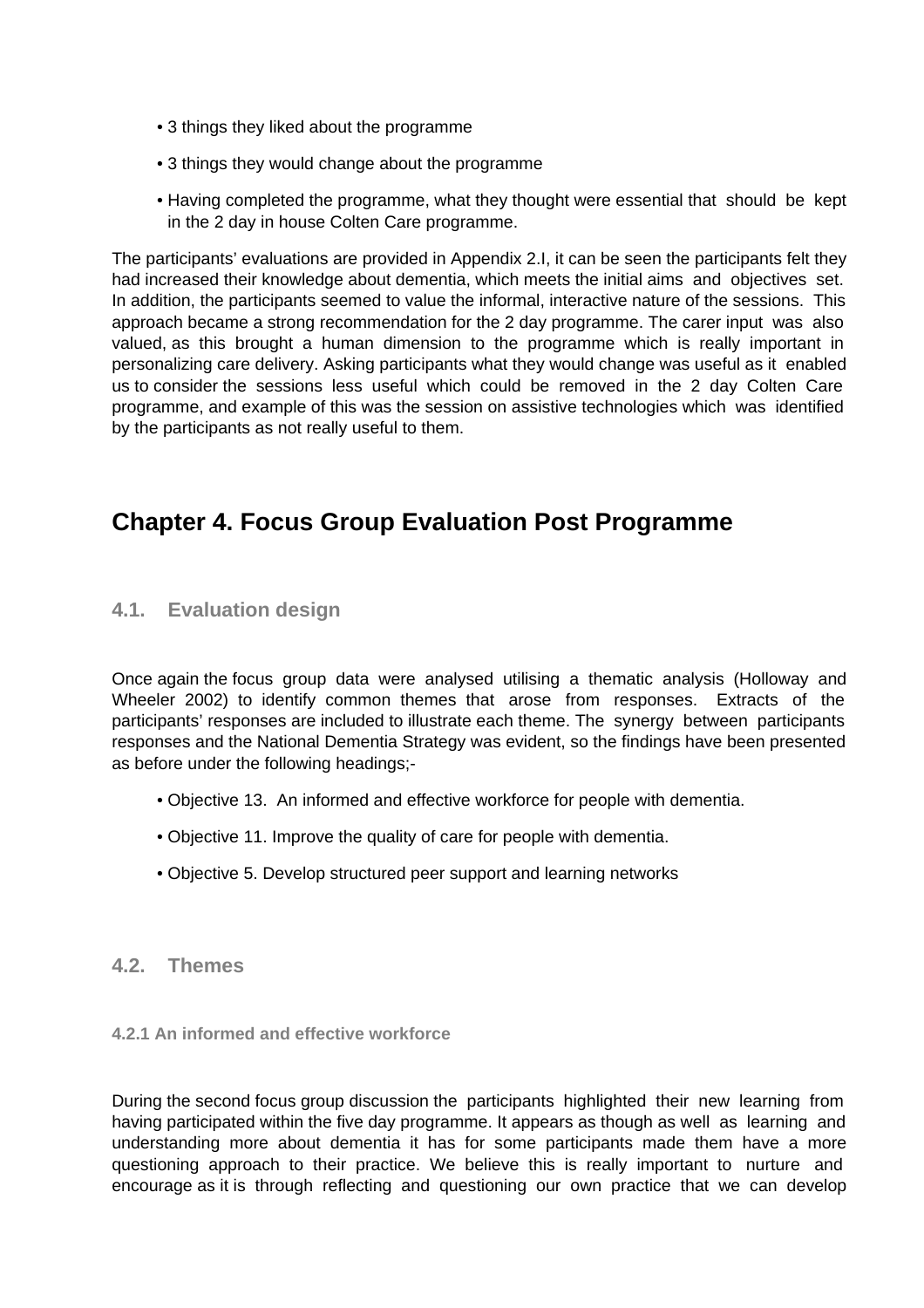- 3 things they liked about the programme
- 3 things they would change about the programme
- Having completed the programme, what they thought were essential that should be kept in the 2 day in house Colten Care programme.

The participants' evaluations are provided in Appendix 2.I, it can be seen the participants felt they had increased their knowledge about dementia, which meets the initial aims and objectives set. In addition, the participants seemed to value the informal, interactive nature of the sessions. This approach became a strong recommendation for the 2 day programme. The carer input was also valued, as this brought a human dimension to the programme which is really important in personalizing care delivery. Asking participants what they would change was useful as it enabled us to consider the sessions less useful which could be removed in the 2 day Colten Care programme, and example of this was the session on assistive technologies which was identified by the participants as not really useful to them.

# **Chapter 4. Focus Group Evaluation Post Programme**

## **4.1. Evaluation design**

Once again the focus group data were analysed utilising a thematic analysis (Holloway and Wheeler 2002) to identify common themes that arose from responses. Extracts of the participants' responses are included to illustrate each theme. The synergy between participants responses and the National Dementia Strategy was evident, so the findings have been presented as before under the following headings;-

- Objective 13. An informed and effective workforce for people with dementia.
- Objective 11. Improve the quality of care for people with dementia.
- Objective 5. Develop structured peer support and learning networks

### **4.2. Themes**

#### **4.2.1 An informed and effective workforce**

During the second focus group discussion the participants highlighted their new learning from having participated within the five day programme. It appears as though as well as learning and understanding more about dementia it has for some participants made them have a more questioning approach to their practice. We believe this is really important to nurture and encourage as it is through reflecting and questioning our own practice that we can develop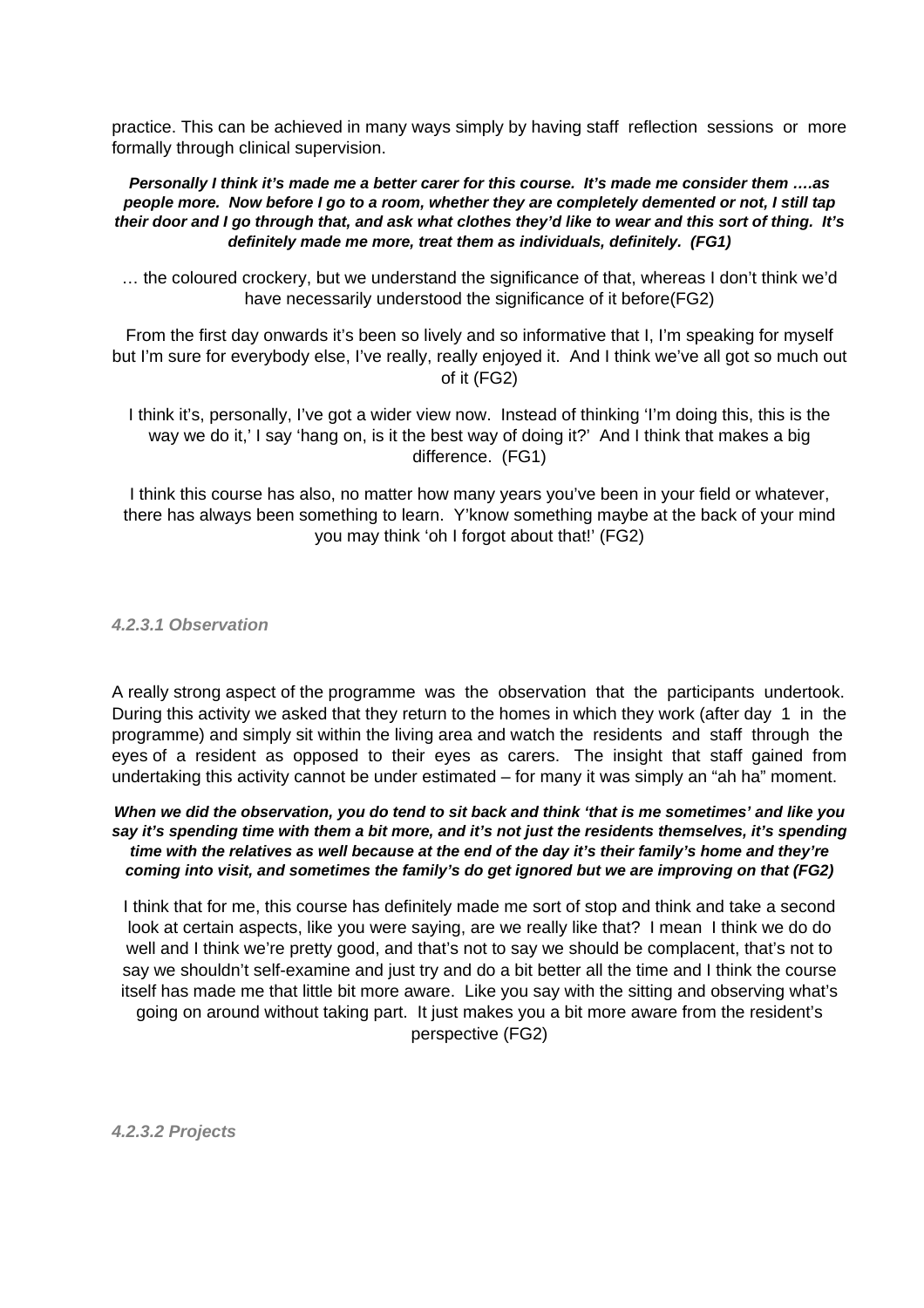practice. This can be achieved in many ways simply by having staff reflection sessions or more formally through clinical supervision.

**Personally I think it's made me a better carer for this course. It's made me consider them ….as people more. Now before I go to a room, whether they are completely demented or not, I still tap their door and I go through that, and ask what clothes they'd like to wear and this sort of thing. It's definitely made me more, treat them as individuals, definitely. (FG1)**

… the coloured crockery, but we understand the significance of that, whereas I don't think we'd have necessarily understood the significance of it before(FG2)

From the first day onwards it's been so lively and so informative that I, I'm speaking for myself but I'm sure for everybody else, I've really, really enjoyed it. And I think we've all got so much out of it (FG2)

I think it's, personally, I've got a wider view now. Instead of thinking 'I'm doing this, this is the way we do it,' I say 'hang on, is it the best way of doing it?' And I think that makes a big difference. (FG1)

I think this course has also, no matter how many years you've been in your field or whatever, there has always been something to learn. Y'know something maybe at the back of your mind you may think 'oh I forgot about that!' (FG2)

**4.2.3.1 Observation**

A really strong aspect of the programme was the observation that the participants undertook. During this activity we asked that they return to the homes in which they work (after day 1 in the programme) and simply sit within the living area and watch the residents and staff through the eyes of a resident as opposed to their eyes as carers. The insight that staff gained from undertaking this activity cannot be under estimated – for many it was simply an "ah ha" moment.

**When we did the observation, you do tend to sit back and think 'that is me sometimes' and like you say it's spending time with them a bit more, and it's not just the residents themselves, it's spending time with the relatives as well because at the end of the day it's their family's home and they're coming into visit, and sometimes the family's do get ignored but we are improving on that (FG2)**

I think that for me, this course has definitely made me sort of stop and think and take a second look at certain aspects, like you were saying, are we really like that? I mean I think we do do well and I think we're pretty good, and that's not to say we should be complacent, that's not to say we shouldn't self-examine and just try and do a bit better all the time and I think the course itself has made me that little bit more aware. Like you say with the sitting and observing what's going on around without taking part. It just makes you a bit more aware from the resident's perspective (FG2)

**4.2.3.2 Projects**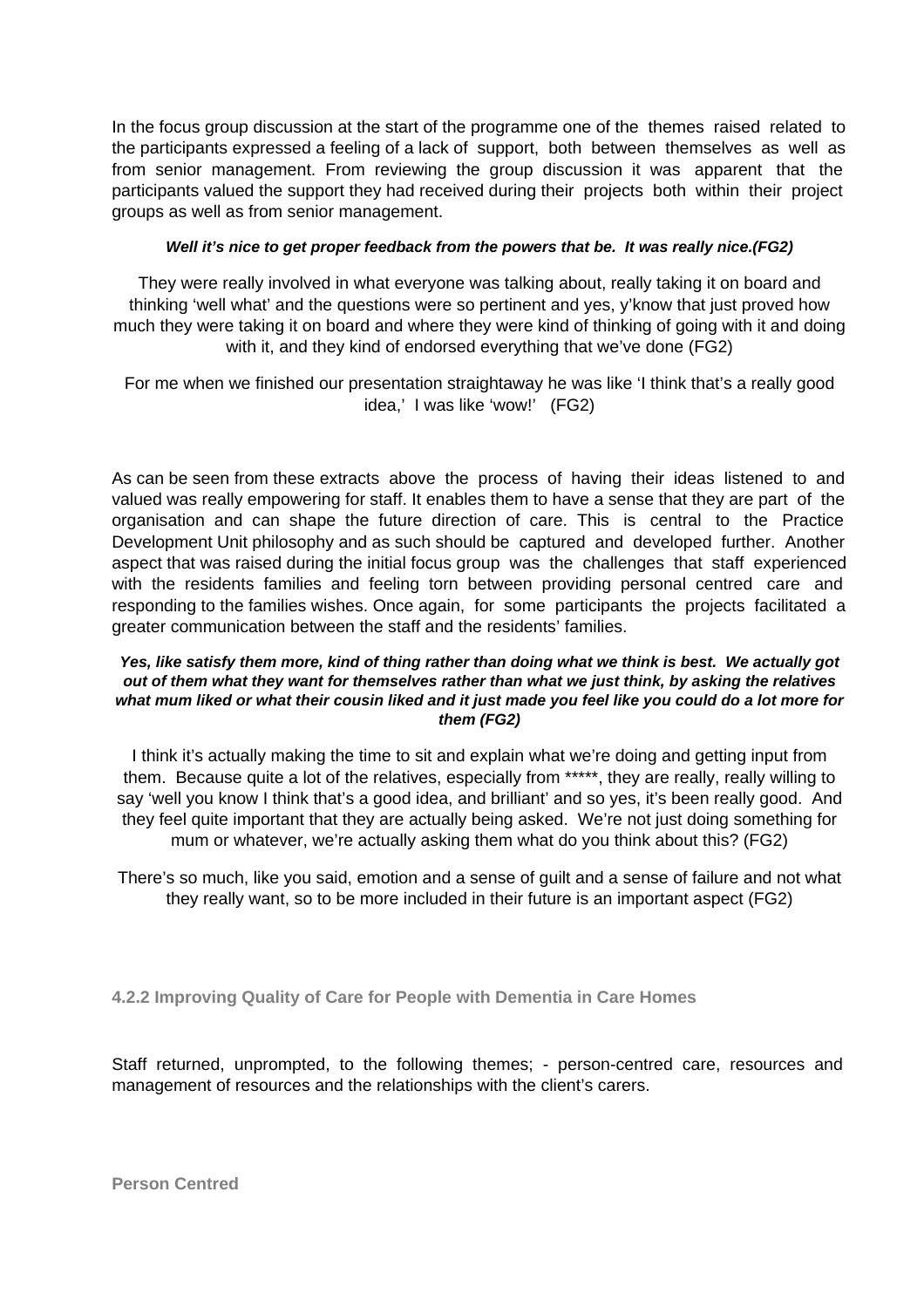In the focus group discussion at the start of the programme one of the themes raised related to the participants expressed a feeling of a lack of support, both between themselves as well as from senior management. From reviewing the group discussion it was apparent that the participants valued the support they had received during their projects both within their project groups as well as from senior management.

#### **Well it's nice to get proper feedback from the powers that be. It was really nice.(FG2)**

They were really involved in what everyone was talking about, really taking it on board and thinking 'well what' and the questions were so pertinent and yes, y'know that just proved how much they were taking it on board and where they were kind of thinking of going with it and doing with it, and they kind of endorsed everything that we've done (FG2)

For me when we finished our presentation straightaway he was like 'I think that's a really good idea,' I was like 'wow!' (FG2)

As can be seen from these extracts above the process of having their ideas listened to and valued was really empowering for staff. It enables them to have a sense that they are part of the organisation and can shape the future direction of care. This is central to the Practice Development Unit philosophy and as such should be captured and developed further. Another aspect that was raised during the initial focus group was the challenges that staff experienced with the residents families and feeling torn between providing personal centred care and responding to the families wishes. Once again, for some participants the projects facilitated a greater communication between the staff and the residents' families.

#### **Yes, like satisfy them more, kind of thing rather than doing what we think is best. We actually got out of them what they want for themselves rather than what we just think, by asking the relatives what mum liked or what their cousin liked and it just made you feel like you could do a lot more for them (FG2)**

I think it's actually making the time to sit and explain what we're doing and getting input from them. Because quite a lot of the relatives, especially from \*\*\*\*\*, they are really, really willing to say 'well you know I think that's a good idea, and brilliant' and so yes, it's been really good. And they feel quite important that they are actually being asked. We're not just doing something for mum or whatever, we're actually asking them what do you think about this? (FG2)

There's so much, like you said, emotion and a sense of guilt and a sense of failure and not what they really want, so to be more included in their future is an important aspect (FG2)

**4.2.2 Improving Quality of Care for People with Dementia in Care Homes**

Staff returned, unprompted, to the following themes; - person-centred care, resources and management of resources and the relationships with the client's carers.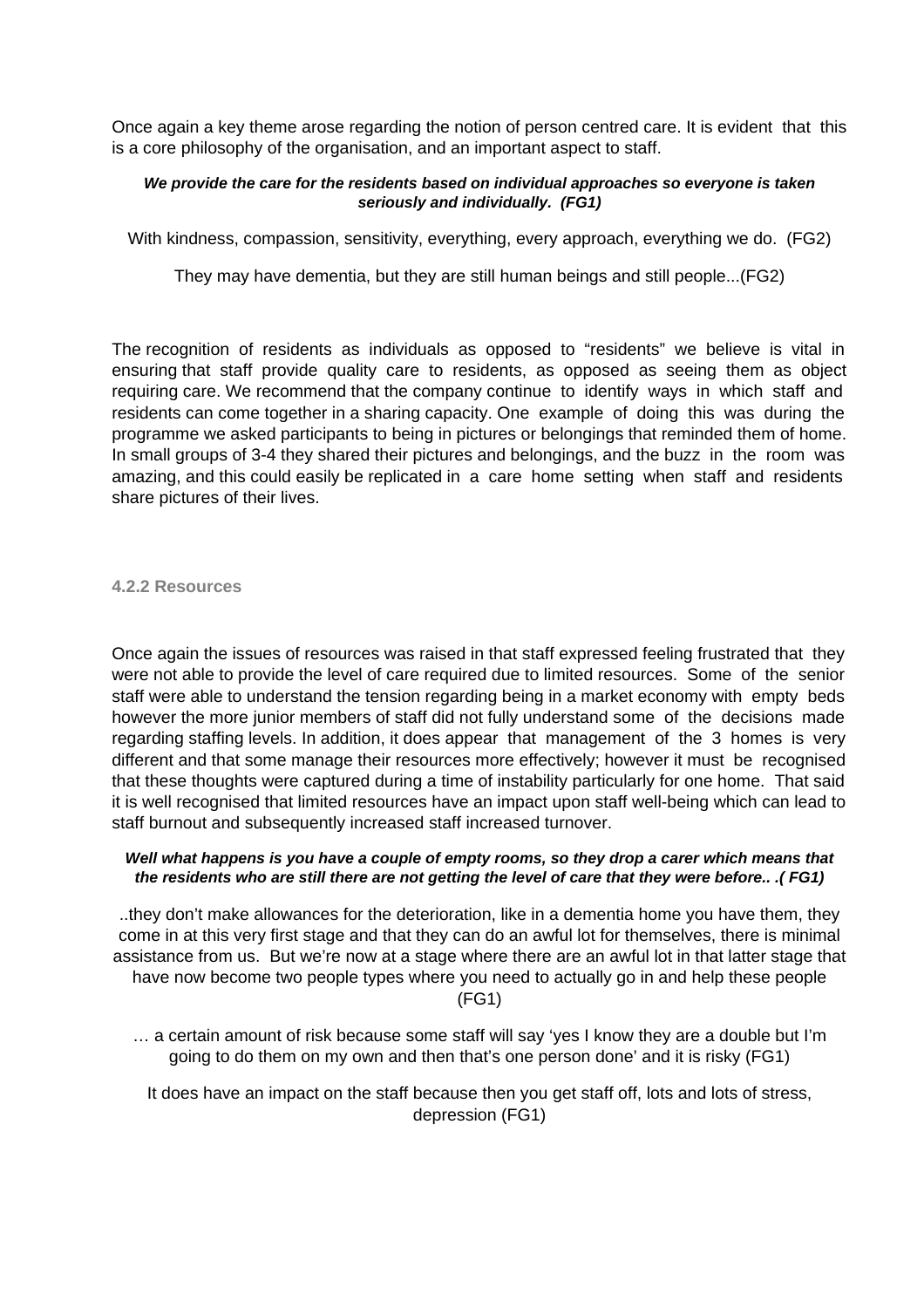Once again a key theme arose regarding the notion of person centred care. It is evident that this is a core philosophy of the organisation, and an important aspect to staff.

#### **We provide the care for the residents based on individual approaches so everyone is taken seriously and individually. (FG1)**

With kindness, compassion, sensitivity, everything, every approach, everything we do. (FG2)

They may have dementia, but they are still human beings and still people...(FG2)

The recognition of residents as individuals as opposed to "residents" we believe is vital in ensuring that staff provide quality care to residents, as opposed as seeing them as object requiring care. We recommend that the company continue to identify ways in which staff and residents can come together in a sharing capacity. One example of doing this was during the programme we asked participants to being in pictures or belongings that reminded them of home. In small groups of 3-4 they shared their pictures and belongings, and the buzz in the room was amazing, and this could easily be replicated in a care home setting when staff and residents share pictures of their lives.

#### **4.2.2 Resources**

Once again the issues of resources was raised in that staff expressed feeling frustrated that they were not able to provide the level of care required due to limited resources. Some of the senior staff were able to understand the tension regarding being in a market economy with empty beds however the more junior members of staff did not fully understand some of the decisions made regarding staffing levels. In addition, it does appear that management of the 3 homes is very different and that some manage their resources more effectively; however it must be recognised that these thoughts were captured during a time of instability particularly for one home. That said it is well recognised that limited resources have an impact upon staff well-being which can lead to staff burnout and subsequently increased staff increased turnover.

#### **Well what happens is you have a couple of empty rooms, so they drop a carer which means that the residents who are still there are not getting the level of care that they were before.. .( FG1)**

..they don't make allowances for the deterioration, like in a dementia home you have them, they come in at this very first stage and that they can do an awful lot for themselves, there is minimal assistance from us. But we're now at a stage where there are an awful lot in that latter stage that have now become two people types where you need to actually go in and help these people

(FG1)

… a certain amount of risk because some staff will say 'yes I know they are a double but I'm going to do them on my own and then that's one person done' and it is risky (FG1)

It does have an impact on the staff because then you get staff off, lots and lots of stress, depression (FG1)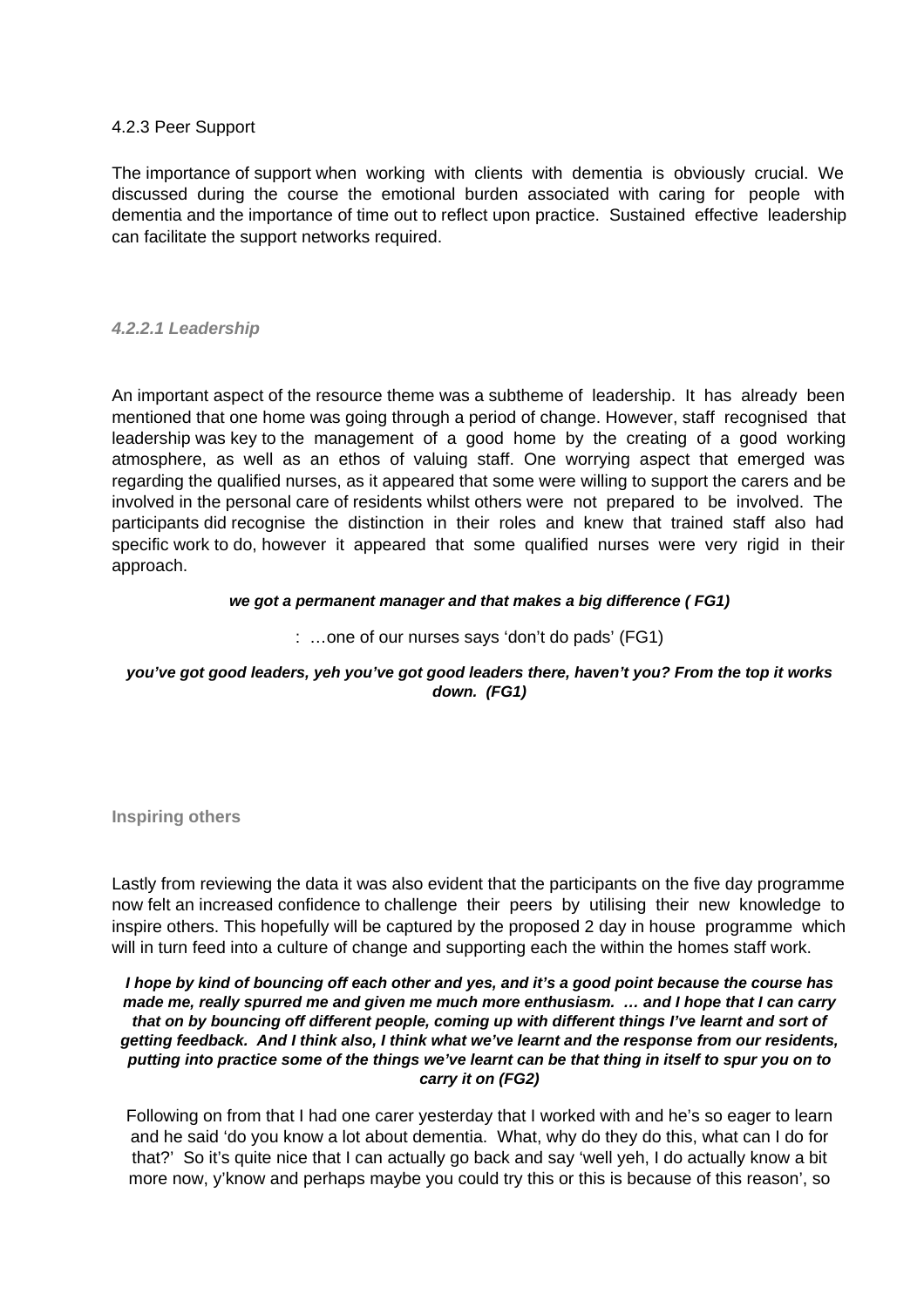#### 4.2.3 Peer Support

The importance of support when working with clients with dementia is obviously crucial. We discussed during the course the emotional burden associated with caring for people with dementia and the importance of time out to reflect upon practice. Sustained effective leadership can facilitate the support networks required.

#### **4.2.2.1 Leadership**

An important aspect of the resource theme was a subtheme of leadership. It has already been mentioned that one home was going through a period of change. However, staff recognised that leadership was key to the management of a good home by the creating of a good working atmosphere, as well as an ethos of valuing staff. One worrying aspect that emerged was regarding the qualified nurses, as it appeared that some were willing to support the carers and be involved in the personal care of residents whilst others were not prepared to be involved. The participants did recognise the distinction in their roles and knew that trained staff also had specific work to do, however it appeared that some qualified nurses were very rigid in their approach.

#### **we got a permanent manager and that makes a big difference ( FG1)**

#### : …one of our nurses says 'don't do pads' (FG1)

#### **you've got good leaders, yeh you've got good leaders there, haven't you? From the top it works down. (FG1)**

**Inspiring others**

Lastly from reviewing the data it was also evident that the participants on the five day programme now felt an increased confidence to challenge their peers by utilising their new knowledge to inspire others. This hopefully will be captured by the proposed 2 day in house programme which will in turn feed into a culture of change and supporting each the within the homes staff work.

#### **I hope by kind of bouncing off each other and yes, and it's a good point because the course has made me, really spurred me and given me much more enthusiasm. … and I hope that I can carry that on by bouncing off different people, coming up with different things I've learnt and sort of getting feedback. And I think also, I think what we've learnt and the response from our residents, putting into practice some of the things we've learnt can be that thing in itself to spur you on to carry it on (FG2)**

Following on from that I had one carer yesterday that I worked with and he's so eager to learn and he said 'do you know a lot about dementia. What, why do they do this, what can I do for that?' So it's quite nice that I can actually go back and say 'well yeh, I do actually know a bit more now, y'know and perhaps maybe you could try this or this is because of this reason', so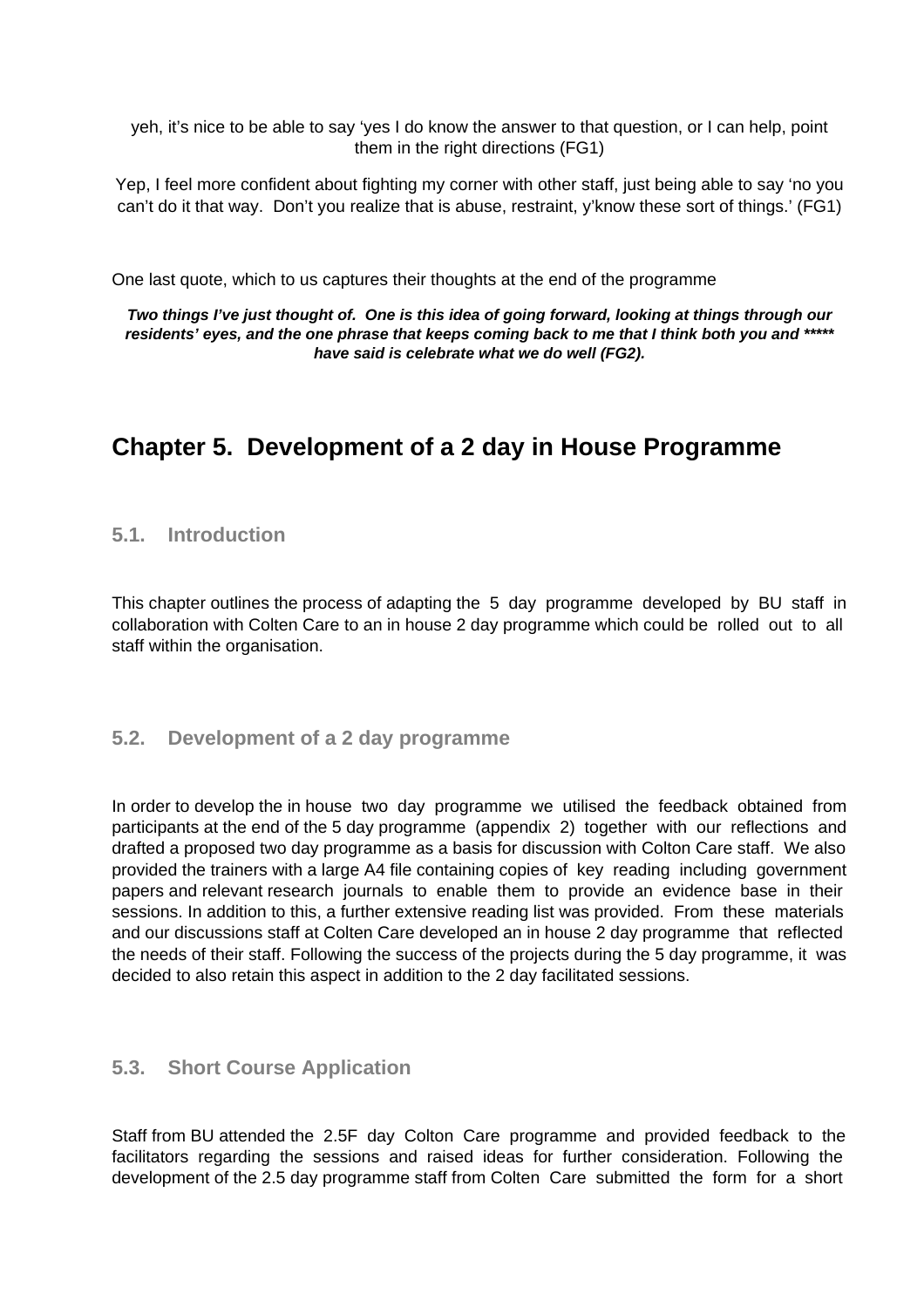yeh, it's nice to be able to say 'yes I do know the answer to that question, or I can help, point them in the right directions (FG1)

Yep, I feel more confident about fighting my corner with other staff, just being able to say 'no you can't do it that way. Don't you realize that is abuse, restraint, y'know these sort of things.' (FG1)

One last quote, which to us captures their thoughts at the end of the programme

**Two things I've just thought of. One is this idea of going forward, looking at things through our residents' eyes, and the one phrase that keeps coming back to me that I think both you and \*\*\*\*\* have said is celebrate what we do well (FG2).**

# **Chapter 5. Development of a 2 day in House Programme**

### **5.1. Introduction**

This chapter outlines the process of adapting the 5 day programme developed by BU staff in collaboration with Colten Care to an in house 2 day programme which could be rolled out to all staff within the organisation.

### **5.2. Development of a 2 day programme**

In order to develop the in house two day programme we utilised the feedback obtained from participants at the end of the 5 day programme (appendix 2) together with our reflections and drafted a proposed two day programme as a basis for discussion with Colton Care staff. We also provided the trainers with a large A4 file containing copies of key reading including government papers and relevant research journals to enable them to provide an evidence base in their sessions. In addition to this, a further extensive reading list was provided. From these materials and our discussions staff at Colten Care developed an in house 2 day programme that reflected the needs of their staff. Following the success of the projects during the 5 day programme, it was decided to also retain this aspect in addition to the 2 day facilitated sessions.

### **5.3. Short Course Application**

Staff from BU attended the 2.5F day Colton Care programme and provided feedback to the facilitators regarding the sessions and raised ideas for further consideration. Following the development of the 2.5 day programme staff from Colten Care submitted the form for a short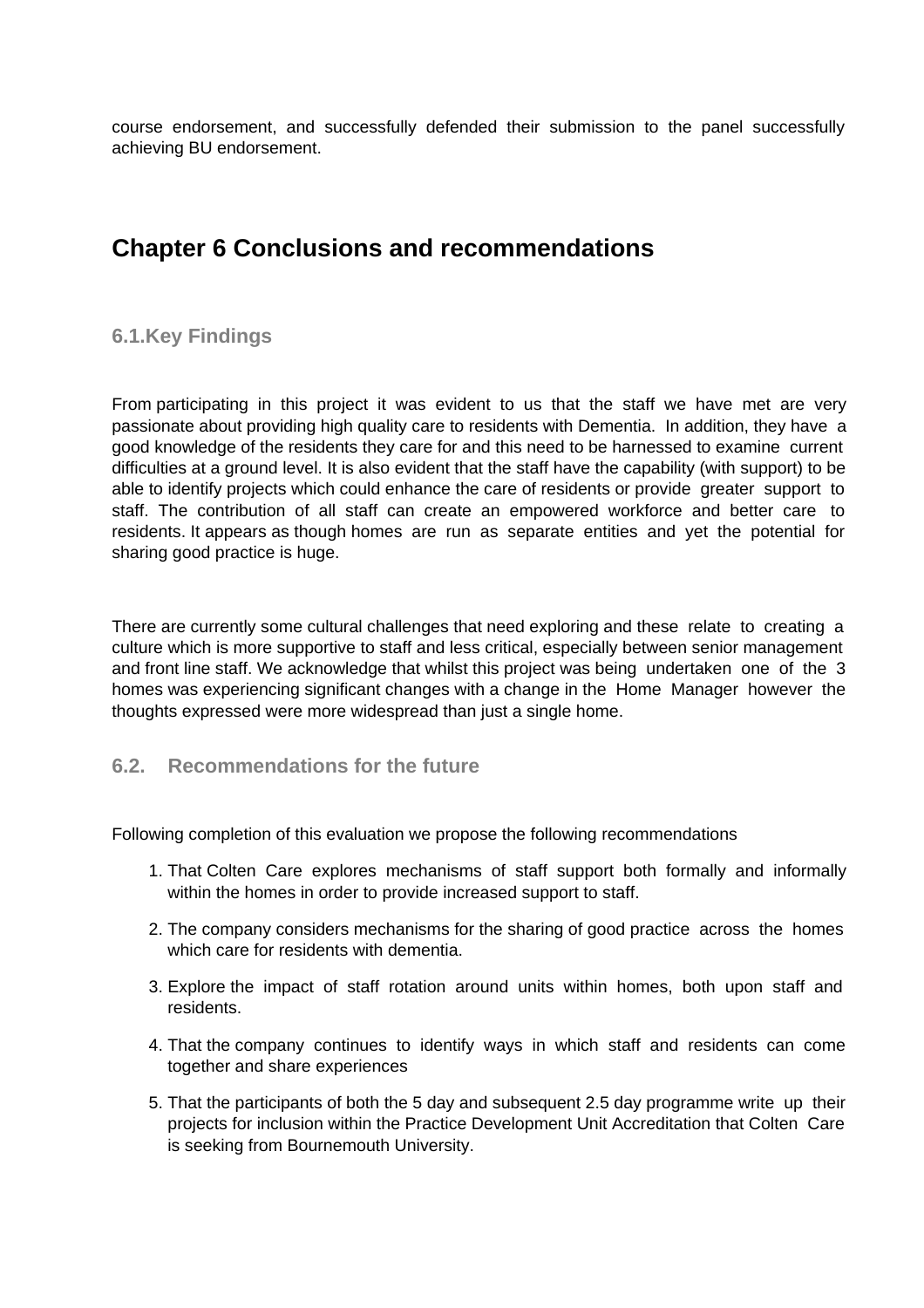course endorsement, and successfully defended their submission to the panel successfully achieving BU endorsement.

# **Chapter 6 Conclusions and recommendations**

# **6.1.Key Findings**

From participating in this project it was evident to us that the staff we have met are very passionate about providing high quality care to residents with Dementia. In addition, they have a good knowledge of the residents they care for and this need to be harnessed to examine current difficulties at a ground level. It is also evident that the staff have the capability (with support) to be able to identify projects which could enhance the care of residents or provide greater support to staff. The contribution of all staff can create an empowered workforce and better care to residents. It appears as though homes are run as separate entities and yet the potential for sharing good practice is huge.

There are currently some cultural challenges that need exploring and these relate to creating a culture which is more supportive to staff and less critical, especially between senior management and front line staff. We acknowledge that whilst this project was being undertaken one of the 3 homes was experiencing significant changes with a change in the Home Manager however the thoughts expressed were more widespread than just a single home.

## **6.2. Recommendations for the future**

Following completion of this evaluation we propose the following recommendations

- 1. That Colten Care explores mechanisms of staff support both formally and informally within the homes in order to provide increased support to staff.
- 2. The company considers mechanisms for the sharing of good practice across the homes which care for residents with dementia.
- 3. Explore the impact of staff rotation around units within homes, both upon staff and residents.
- 4. That the company continues to identify ways in which staff and residents can come together and share experiences
- 5. That the participants of both the 5 day and subsequent 2.5 day programme write up their projects for inclusion within the Practice Development Unit Accreditation that Colten Care is seeking from Bournemouth University.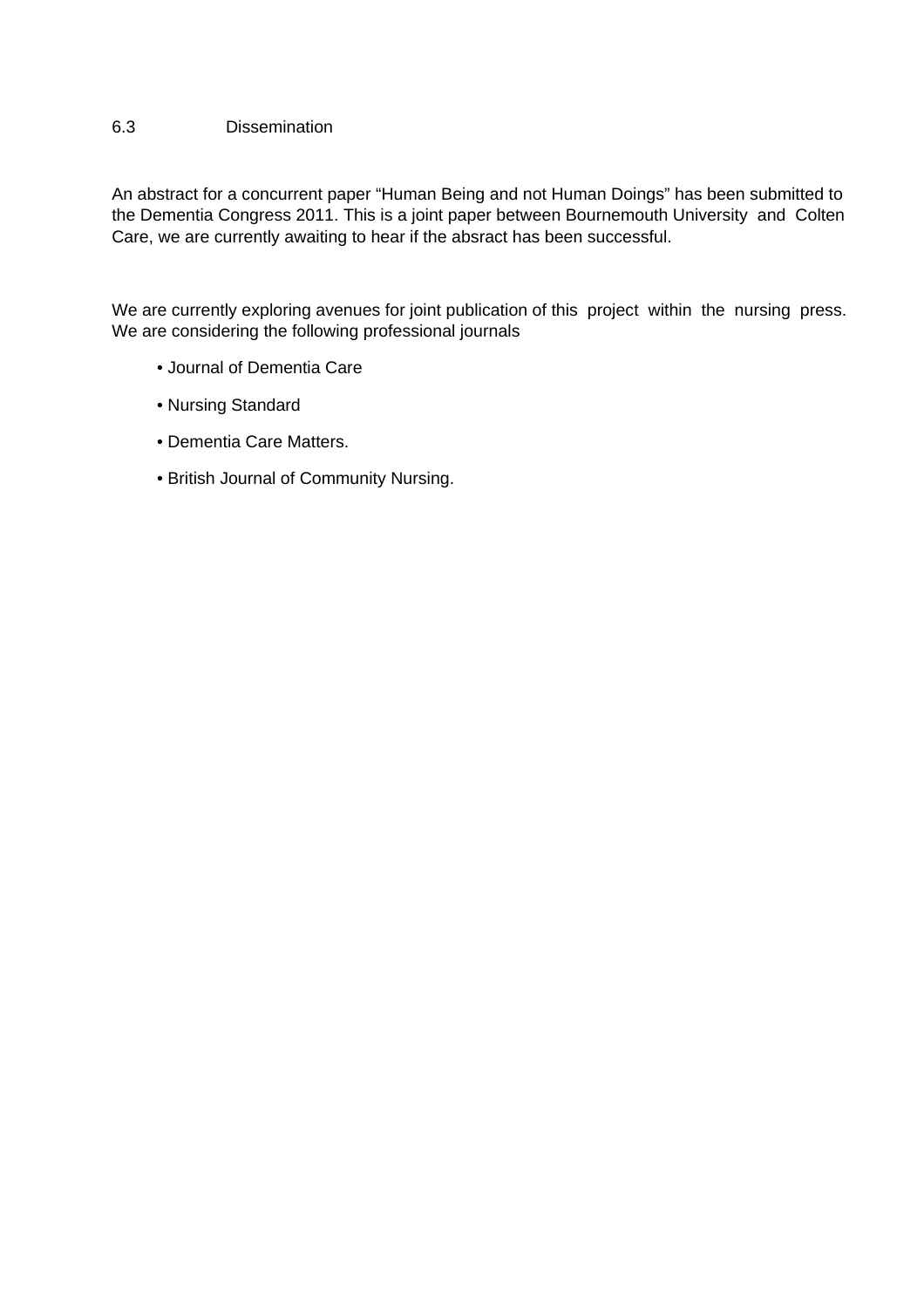#### 6.3 Dissemination

An abstract for a concurrent paper "Human Being and not Human Doings" has been submitted to the Dementia Congress 2011. This is a joint paper between Bournemouth University and Colten Care, we are currently awaiting to hear if the absract has been successful.

We are currently exploring avenues for joint publication of this project within the nursing press. We are considering the following professional journals

- Journal of Dementia Care
- Nursing Standard
- Dementia Care Matters.
- British Journal of Community Nursing.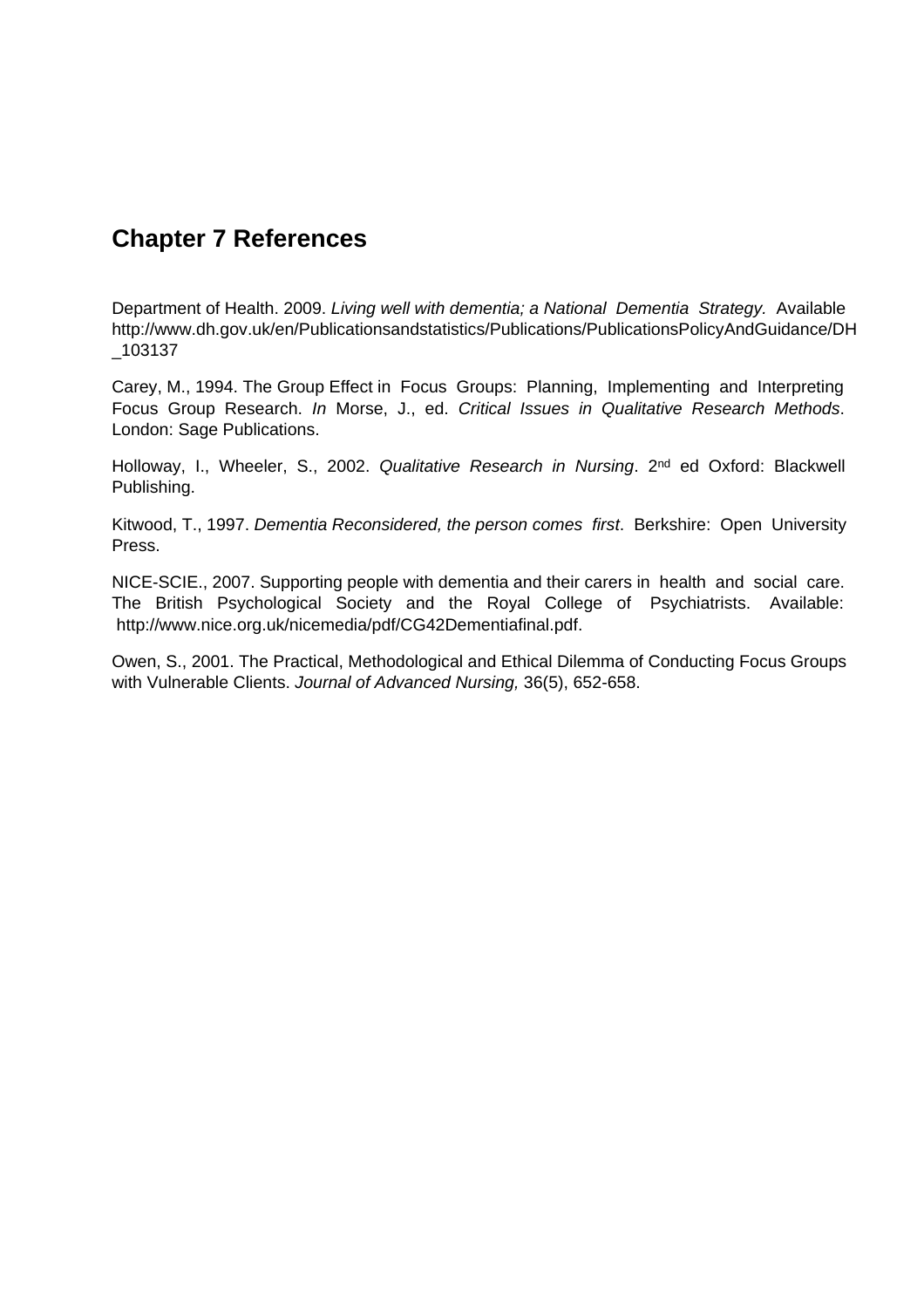# **Chapter 7 References**

Department of Health. 2009. Living well with dementia; a National Dementia Strategy. Available http://www.dh.gov.uk/en/Publicationsandstatistics/Publications/PublicationsPolicyAndGuidance/DH \_103137

Carey, M., 1994. The Group Effect in Focus Groups: Planning, Implementing and Interpreting Focus Group Research. In Morse, J., ed. Critical Issues in Qualitative Research Methods. London: Sage Publications.

Holloway, I., Wheeler, S., 2002. Qualitative Research in Nursing. 2<sup>nd</sup> ed Oxford: Blackwell Publishing.

Kitwood, T., 1997. Dementia Reconsidered, the person comes first. Berkshire: Open University Press.

NICE-SCIE., 2007. Supporting people with dementia and their carers in health and social care. The British Psychological Society and the Royal College of Psychiatrists. Available: http://www.nice.org.uk/nicemedia/pdf/CG42Dementiafinal.pdf.

Owen, S., 2001. The Practical, Methodological and Ethical Dilemma of Conducting Focus Groups with Vulnerable Clients. Journal of Advanced Nursing, 36(5), 652-658.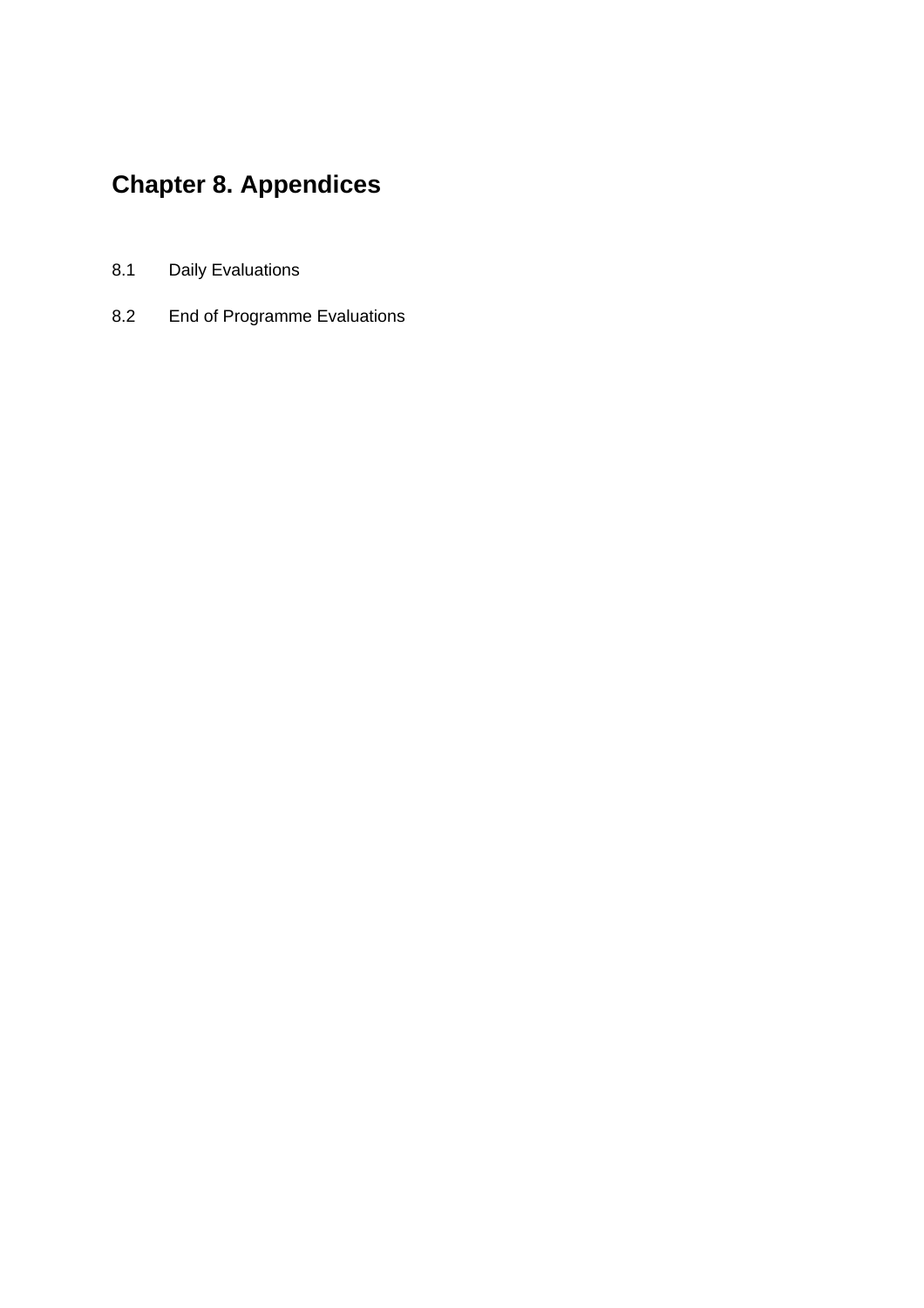# **Chapter 8. Appendices**

- 8.1 Daily Evaluations
- 8.2 End of Programme Evaluations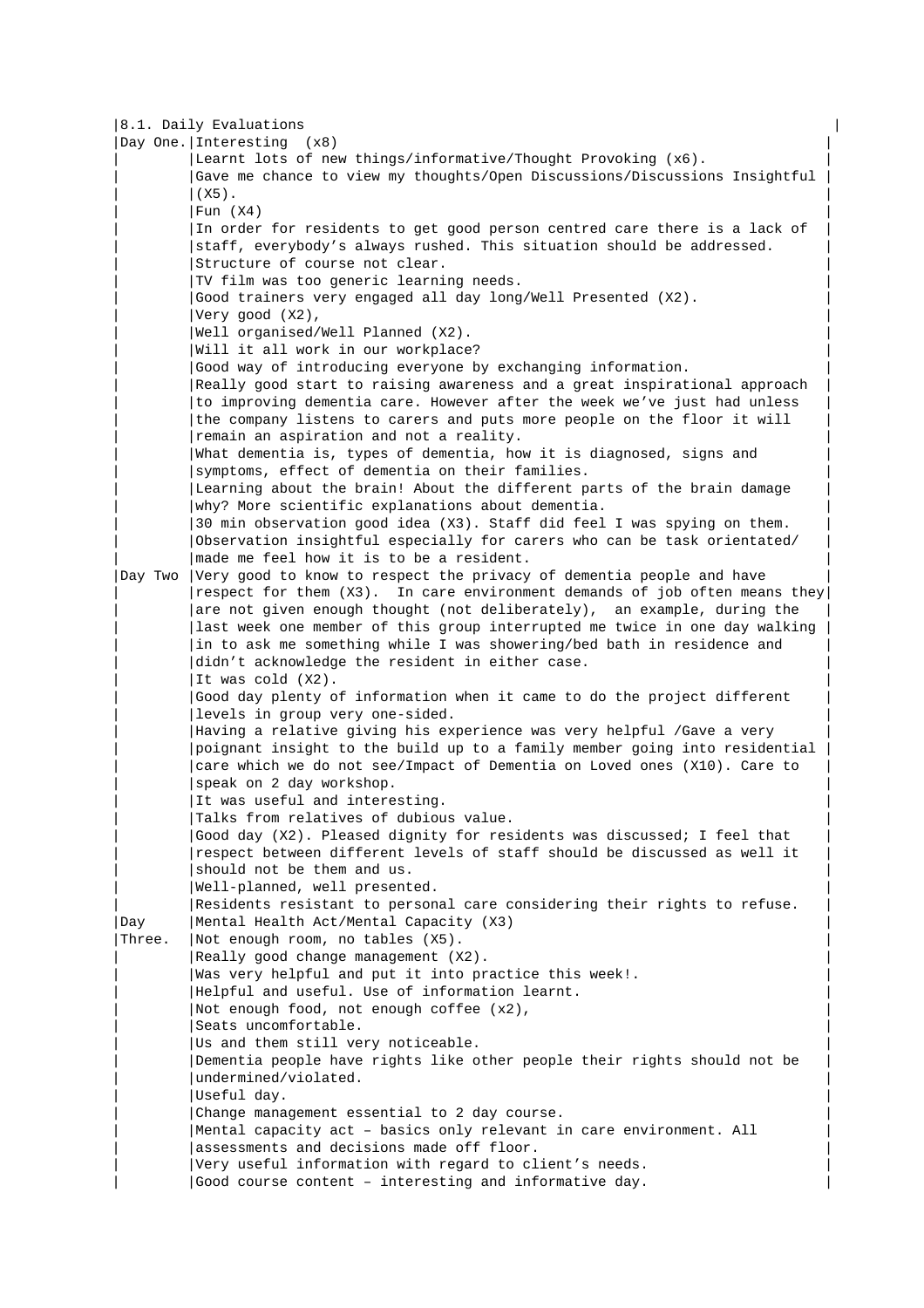|         | 8.1. Daily Evaluations                                                     |  |
|---------|----------------------------------------------------------------------------|--|
|         | Day One. Interesting $(x8)$                                                |  |
|         | Learnt lots of new things/informative/Thought Provoking (x6).              |  |
|         | Gave me chance to view my thoughts/Open Discussions/Discussions Insightful |  |
|         | $(X5)$ .                                                                   |  |
|         | Fun $(X4)$                                                                 |  |
|         | In order for residents to get good person centred care there is a lack of  |  |
|         | staff, everybody's always rushed. This situation should be addressed.      |  |
|         | Structure of course not clear.                                             |  |
|         | TV film was too generic learning needs.                                    |  |
|         | Good trainers very engaged all day long/Well Presented (X2).               |  |
|         | Very good (X2),                                                            |  |
|         | Well organised/Well Planned (X2).                                          |  |
|         | Will it all work in our workplace?                                         |  |
|         | Good way of introducing everyone by exchanging information.                |  |
|         | Really good start to raising awareness and a great inspirational approach  |  |
|         | to improving dementia care. However after the week we've just had unless   |  |
|         | the company listens to carers and puts more people on the floor it will    |  |
|         | remain an aspiration and not a reality.                                    |  |
|         | What dementia is, types of dementia, how it is diagnosed, signs and        |  |
|         | symptoms, effect of dementia on their families.                            |  |
|         | Learning about the brain! About the different parts of the brain damage    |  |
|         | why? More scientific explanations about dementia.                          |  |
|         | 30 min observation good idea (X3). Staff did feel I was spying on them.    |  |
|         | Observation insightful especially for carers who can be task orientated/   |  |
|         | made me feel how it is to be a resident.                                   |  |
| Day Two | Very good to know to respect the privacy of dementia people and have       |  |
|         | respect for them (X3). In care environment demands of job often means they |  |
|         | are not given enough thought (not deliberately), an example, during the    |  |
|         | last week one member of this group interrupted me twice in one day walking |  |
|         | in to ask me something while I was showering/bed bath in residence and     |  |
|         | didn't acknowledge the resident in either case.                            |  |
|         | It was cold (X2).                                                          |  |
|         | Good day plenty of information when it came to do the project different    |  |
|         | levels in group very one-sided.                                            |  |
|         | Having a relative giving his experience was very helpful /Gave a very      |  |
|         | poignant insight to the build up to a family member going into residential |  |
|         | care which we do not see/Impact of Dementia on Loved ones (X10). Care to   |  |
|         | speak on 2 day workshop.                                                   |  |
|         | It was useful and interesting.                                             |  |
|         | Talks from relatives of dubious value.                                     |  |
|         | Good day (X2). Pleased dignity for residents was discussed; I feel that    |  |
|         | respect between different levels of staff should be discussed as well it   |  |
|         | should not be them and us.<br>Well-planned, well presented.                |  |
|         | Residents resistant to personal care considering their rights to refuse.   |  |
| Day     | Mental Health Act/Mental Capacity (X3)                                     |  |
| Three.  | Not enough room, no tables (X5).                                           |  |
|         | Really good change management (X2).                                        |  |
|         | Was very helpful and put it into practice this week!.                      |  |
|         | Helpful and useful. Use of information learnt.                             |  |
|         | Not enough food, not enough coffee (x2),                                   |  |
|         | Seats uncomfortable.                                                       |  |
|         | Us and them still very noticeable.                                         |  |
|         | Dementia people have rights like other people their rights should not be   |  |
|         | undermined/violated.                                                       |  |
|         | Useful day.                                                                |  |
|         | Change management essential to 2 day course.                               |  |
|         | Mental capacity act - basics only relevant in care environment. All        |  |
|         | assessments and decisions made off floor.                                  |  |
|         | Very useful information with regard to client's needs.                     |  |
|         | Good course content - interesting and informative day.                     |  |
|         |                                                                            |  |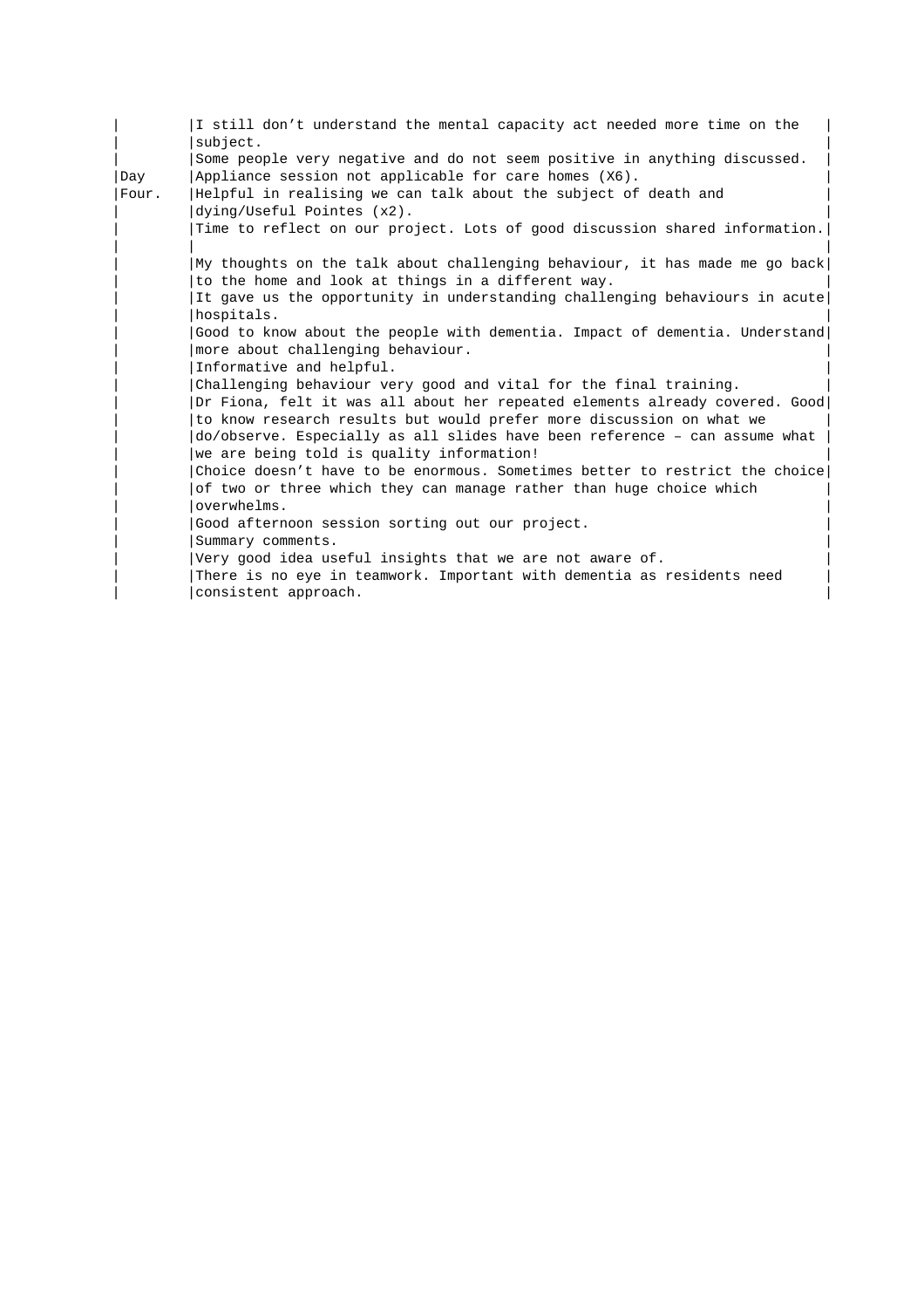|       | I still don't understand the mental capacity act needed more time on the    |
|-------|-----------------------------------------------------------------------------|
|       | subject.                                                                    |
|       | Some people very negative and do not seem positive in anything discussed.   |
| Day   | Appliance session not applicable for care homes (X6).                       |
| Four. | Helpful in realising we can talk about the subject of death and             |
|       | dying/Useful Pointes (x2).                                                  |
|       | Time to reflect on our project. Lots of good discussion shared information. |
|       |                                                                             |
|       | My thoughts on the talk about challenging behaviour, it has made me go back |
|       | to the home and look at things in a different way.                          |
|       | It gave us the opportunity in understanding challenging behaviours in acute |
|       | hospitals.                                                                  |
|       | Good to know about the people with dementia. Impact of dementia. Understand |
|       | more about challenging behaviour.                                           |
|       | Informative and helpful.                                                    |
|       | Challenging behaviour very good and vital for the final training.           |
|       | Dr Fiona, felt it was all about her repeated elements already covered. Good |
|       | to know research results but would prefer more discussion on what we        |
|       | do/observe. Especially as all slides have been reference - can assume what  |
|       | we are being told is quality information!                                   |
|       | Choice doesn't have to be enormous. Sometimes better to restrict the choice |
|       | of two or three which they can manage rather than huge choice which         |
|       | overwhelms.                                                                 |
|       | Good afternoon session sorting out our project.                             |
|       | Summary comments.                                                           |
|       | Very good idea useful insights that we are not aware of.                    |
|       | There is no eye in teamwork. Important with dementia as residents need      |
|       | consistent approach.                                                        |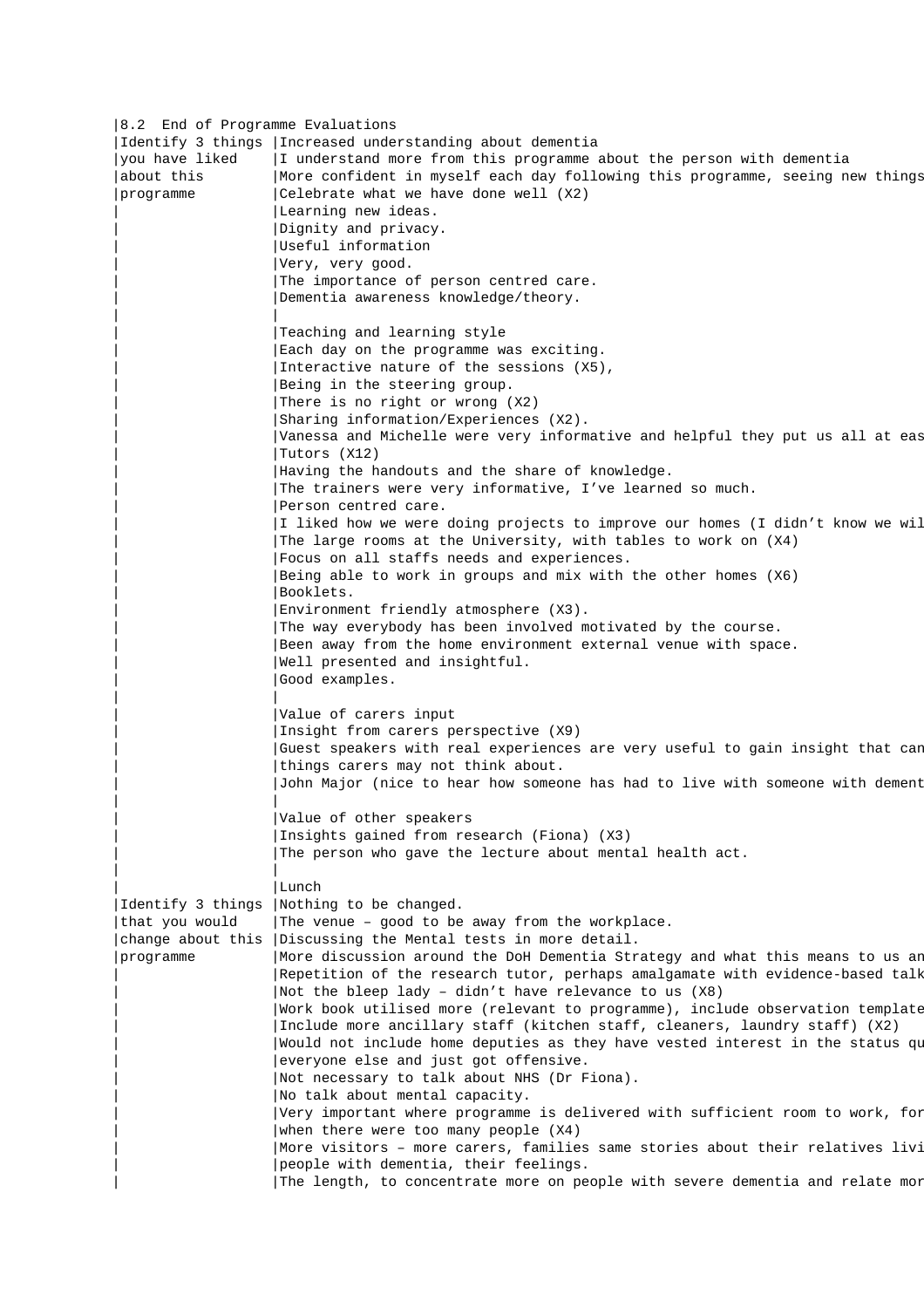|8.2 End of Programme Evaluations | |Identify 3 things |Increased understanding about dementia |  $|$ you have liked  $|I|$  understand more from this programme about the person with dementia |about this |More confident in myself each day following this programme, seeing new things |programme |Celebrate what we have done well (X2) | | |Learning new ideas. | | |Dignity and privacy. | | |Useful information | | |Very, very good. | | |The importance of person centred care. | | |Dementia awareness knowledge/theory. | | | | | |Teaching and learning style | Each day on the programme was exciting. Interactive nature of the sessions (X5), Being in the steering group. .<br>|There is no right or wrong (X2) | |Sharing information/Experiences (X2). | | Vanessa and Michelle were very informative and helpful they put us all at eas  $|$  Tutors  $(X12)$ Having the handouts and the share of knowledge. The trainers were very informative, I've learned so much. Person centred care. I liked how we were doing projects to improve our homes (I didn't know we wil | |The large rooms at the University, with tables to work on (X4) | | |Focus on all staffs needs and experiences. | | |Being able to work in groups and mix with the other homes (X6) | | Booklets. | Booklets. Environment friendly atmosphere (X3). The way everybody has been involved motivated by the course. Been away from the home environment external venue with space. Well presented and insightful. Good examples. | | | Value of carers input Insight from carers perspective (X9) Guest speakers with real experiences are very useful to gain insight that can things carers may not think about. | |John Major (nice to hear how someone has had to live with someone with dementia). | | | | | |Value of other speakers | | |Insights gained from research (Fiona) (X3) | | |The person who gave the lecture about mental health act. | | | | | | Lunch | Lunch | Lunch | Lunch | Lunch | Lunch | Lunch | Lunch | Lunch | Lunch | Lunch | Lunch | Lunch | Lunch | Lunch | Lunch | Lunch | Lunch | Lunch | Lunch | Lunch | Lunch | Lunch | Lunch | Lunch | Lunch | Lunch | Lu |Identify 3 things |Nothing to be changed. | that you would  $|The$  venue – good to be away from the workplace. change about this | Discussing the Mental tests in more detail. |programme | More discussion around the DoH Dementia Strategy and what this means to us an | Repetition of the research tutor, perhaps amalgamate with evidence-based talk | Not the bleep lady - didn't have relevance to us  $(X8)$ | Work book utilised more (relevant to programme), include observation template | |Include more ancillary staff (kitchen staff, cleaners, laundry staff) (X2) | | Would not include home deputies as they have vested interest in the status qu | |everyone else and just got offensive. | | |Not necessary to talk about NHS (Dr Fiona). | | No talk about mental capacity. | Very important where programme is delivered with sufficient room to work, for | when there were too many people  $(X4)$ | More visitors - more carers, families same stories about their relatives livi | |people with dementia, their feelings. | | The length, to concentrate more on people with severe dementia and relate mor